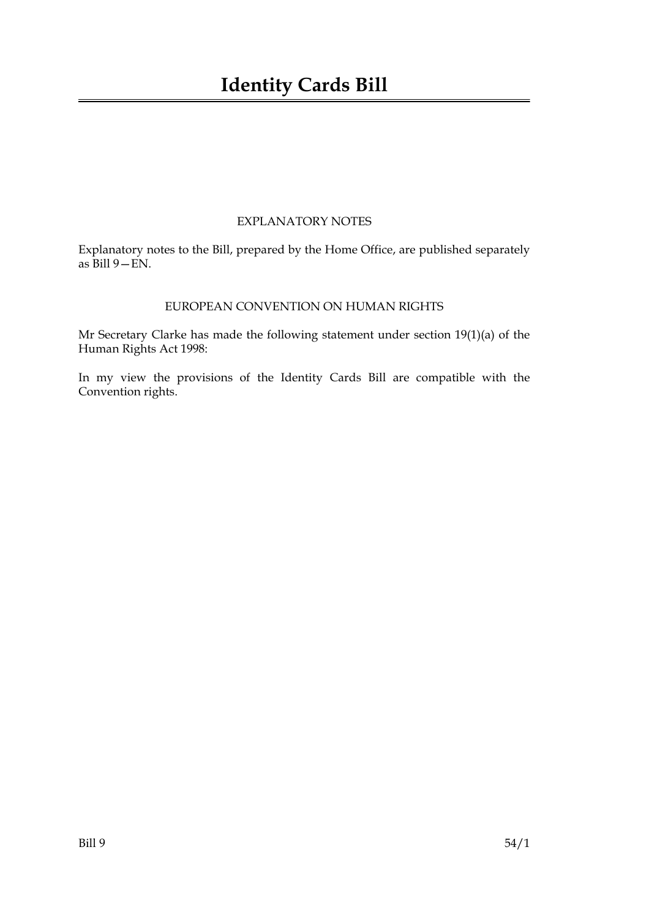# EXPLANATORY NOTES

Explanatory notes to the Bill, prepared by the Home Office, are published separately as Bill 9—EN.

#### EUROPEAN CONVENTION ON HUMAN RIGHTS

Mr Secretary Clarke has made the following statement under section 19(1)(a) of the Human Rights Act 1998:

In my view the provisions of the Identity Cards Bill are compatible with the Convention rights.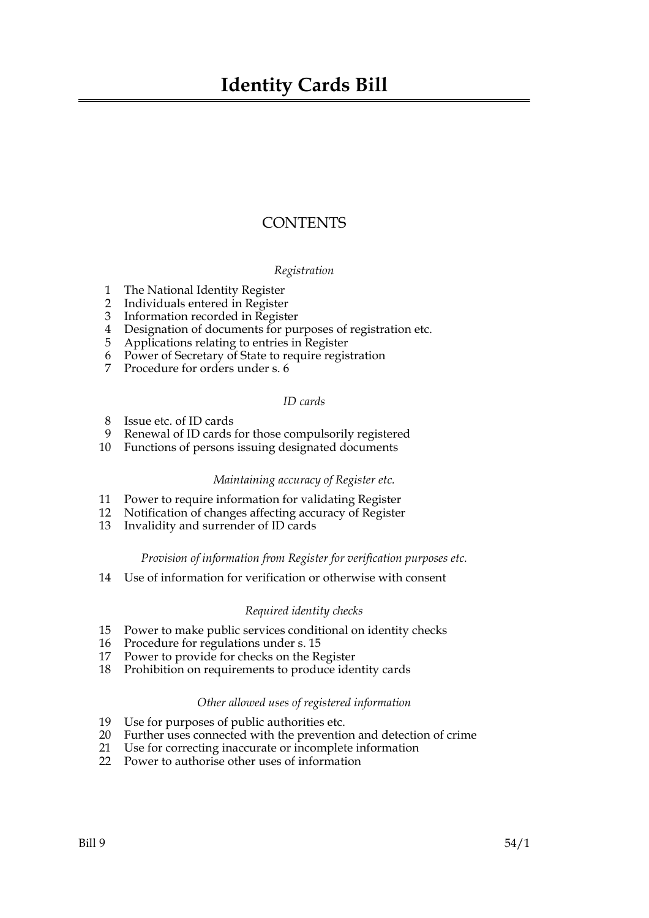# **CONTENTS**

#### *Registration*

- 1 The National Identity Register
- 2 Individuals entered in Register
- 3 Information recorded in Register
- 4 Designation of documents for purposes of registration etc.
- 5 Applications relating to entries in Register
- 6 Power of Secretary of State to require registration
- 7 Procedure for orders under s. 6

#### *ID cards*

- 8 Issue etc. of ID cards
- 9 Renewal of ID cards for those compulsorily registered
- 10 Functions of persons issuing designated documents

#### *Maintaining accuracy of Register etc.*

- 11 Power to require information for validating Register<br>12 Notification of changes affecting accuracy of Register
- Notification of changes affecting accuracy of Register
- 13 Invalidity and surrender of ID cards

#### *Provision of information from Register for verification purposes etc.*

14 Use of information for verification or otherwise with consent

#### *Required identity checks*

- 15 Power to make public services conditional on identity checks
- 16 Procedure for regulations under s. 15
- 17 Power to provide for checks on the Register
- 18 Prohibition on requirements to produce identity cards

## *Other allowed uses of registered information*

- 19 Use for purposes of public authorities etc.
- 20 Further uses connected with the prevention and detection of crime
- 21 Use for correcting inaccurate or incomplete information
- 22 Power to authorise other uses of information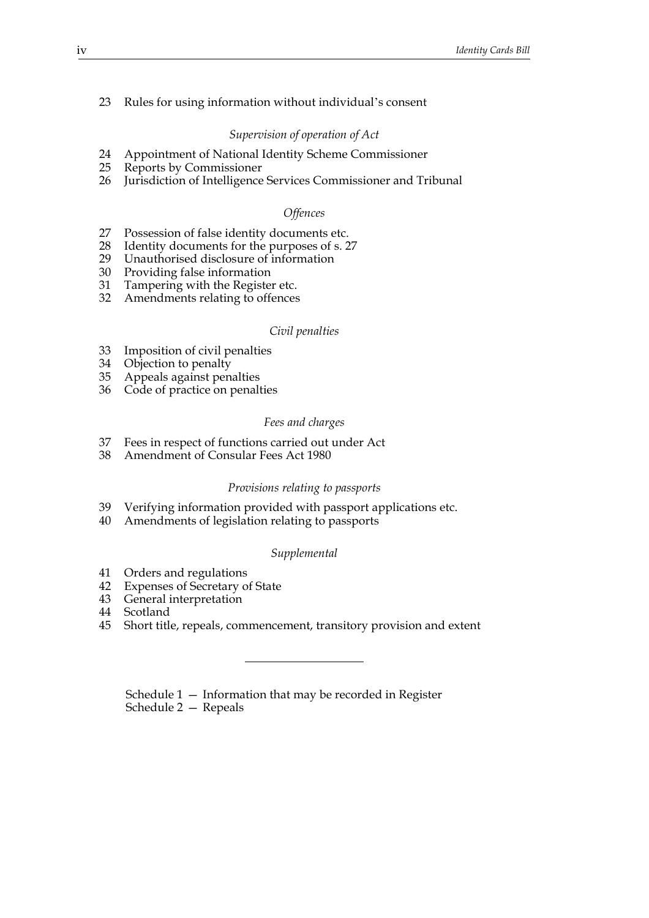#### 23 Rules for using information without individual's consent

#### *Supervision of operation of Act*

- 24 Appointment of National Identity Scheme Commissioner
- 25 Reports by Commissioner
- 26 Jurisdiction of Intelligence Services Commissioner and Tribunal

#### *Offences*

- 27 Possession of false identity documents etc.
- 28 Identity documents for the purposes of s. 27
- 29 Unauthorised disclosure of information
- 30 Providing false information
- 31 Tampering with the Register etc.
- 32 Amendments relating to offences

#### *Civil penalties*

- 33 Imposition of civil penalties
- 34 Objection to penalty
- 35 Appeals against penalties<br>36 Code of practice on penal
- Code of practice on penalties

#### *Fees and charges*

- 37 Fees in respect of functions carried out under Act
- 38 Amendment of Consular Fees Act 1980

#### *Provisions relating to passports*

- 39 Verifying information provided with passport applications etc.
- 40 Amendments of legislation relating to passports

#### *Supplemental*

- 41 Orders and regulations
- 42 Expenses of Secretary of State
- 43 General interpretation
- 44 Scotland
- 45 Short title, repeals, commencement, transitory provision and extent

Schedule 1 — Information that may be recorded in Register Schedule 2 — Repeals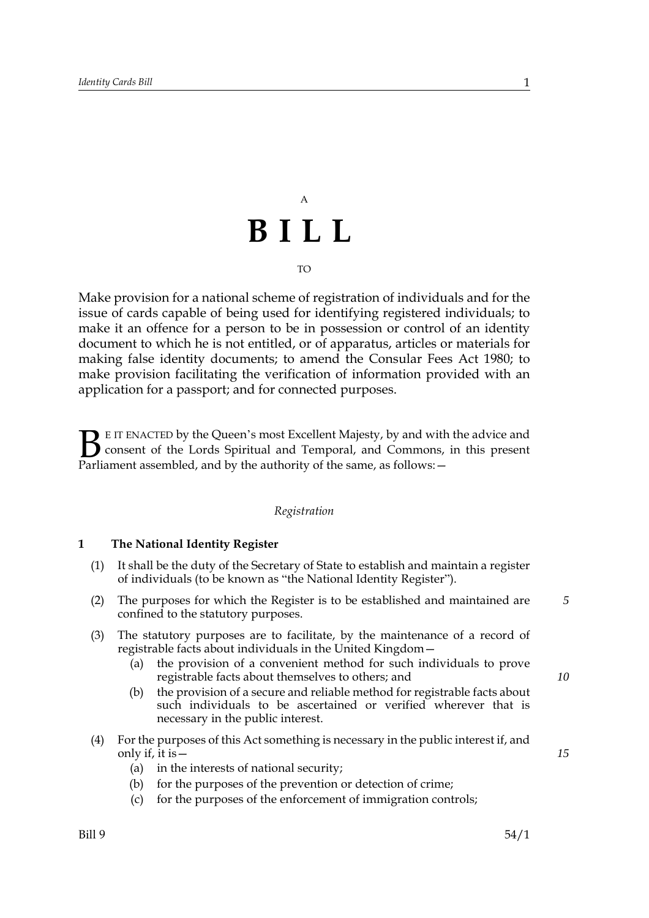# A **BILL**

TO

Make provision for a national scheme of registration of individuals and for the issue of cards capable of being used for identifying registered individuals; to make it an offence for a person to be in possession or control of an identity document to which he is not entitled, or of apparatus, articles or materials for making false identity documents; to amend the Consular Fees Act 1980; to make provision facilitating the verification of information provided with an application for a passport; and for connected purposes.

E IT ENACTED by the Queen's most Excellent Majesty, by and with the advice and consent of the Lords Spiritual and Temporal, and Commons, in this present **B** E IT ENACTED by the Queen's most Excellent Majesty, by and with consent of the Lords Spiritual and Temporal, and Commons, Parliament assembled, and by the authority of the same, as follows:

#### *Registration*

#### **1 The National Identity Register**

- (1) It shall be the duty of the Secretary of State to establish and maintain a register of individuals (to be known as "the National Identity Register").
- (2) The purposes for which the Register is to be established and maintained are confined to the statutory purposes.
- (3) The statutory purposes are to facilitate, by the maintenance of a record of registrable facts about individuals in the United Kingdom—
	- (a) the provision of a convenient method for such individuals to prove registrable facts about themselves to others; and
	- (b) the provision of a secure and reliable method for registrable facts about such individuals to be ascertained or verified wherever that is necessary in the public interest.
- (4) For the purposes of this Act something is necessary in the public interest if, and only if, it is  $-$ 
	- (a) in the interests of national security;
	- (b) for the purposes of the prevention or detection of crime;
	- (c) for the purposes of the enforcement of immigration controls;

*5*

*10*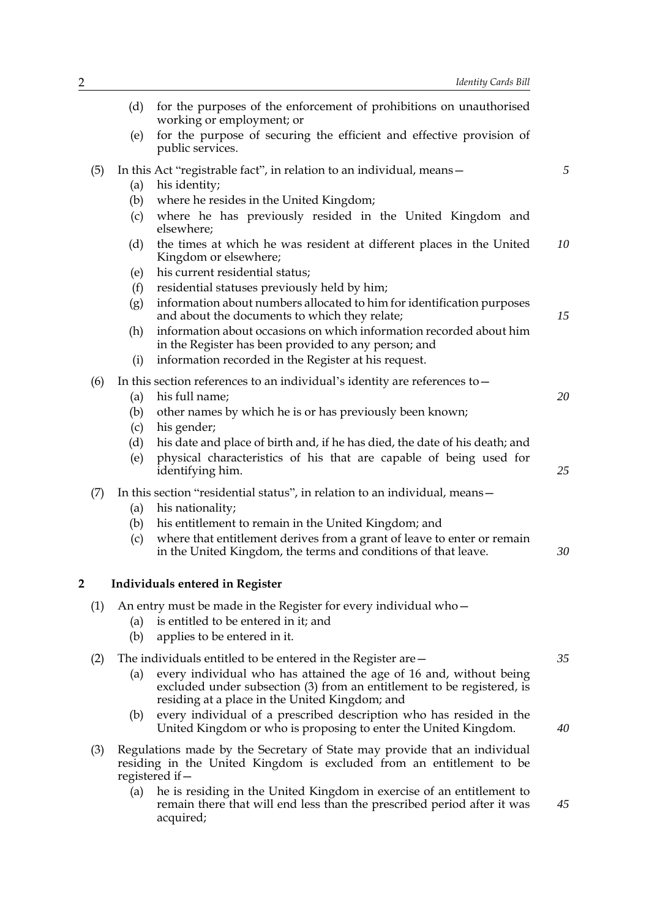|     | (d)                             | for the purposes of the enforcement of prohibitions on unauthorised<br>working or employment; or                                                                                                                                                                                                                                                                                                  |    |
|-----|---------------------------------|---------------------------------------------------------------------------------------------------------------------------------------------------------------------------------------------------------------------------------------------------------------------------------------------------------------------------------------------------------------------------------------------------|----|
|     | (e)                             | for the purpose of securing the efficient and effective provision of<br>public services.                                                                                                                                                                                                                                                                                                          |    |
| (5) | (a)<br>(b)<br>(c)               | In this Act "registrable fact", in relation to an individual, means-<br>his identity;<br>where he resides in the United Kingdom;<br>where he has previously resided in the United Kingdom and<br>elsewhere;                                                                                                                                                                                       | 5  |
|     | (d)                             | the times at which he was resident at different places in the United<br>Kingdom or elsewhere;                                                                                                                                                                                                                                                                                                     | 10 |
|     | (e)<br>(f)<br>(g)<br>(h)<br>(i) | his current residential status;<br>residential statuses previously held by him;<br>information about numbers allocated to him for identification purposes<br>and about the documents to which they relate;<br>information about occasions on which information recorded about him<br>in the Register has been provided to any person; and<br>information recorded in the Register at his request. | 15 |
| (6) | (a)<br>(b)<br>(c)               | In this section references to an individual's identity are references to $-$<br>his full name;<br>other names by which he is or has previously been known;<br>his gender;                                                                                                                                                                                                                         | 20 |
|     | (d)<br>(e)                      | his date and place of birth and, if he has died, the date of his death; and<br>physical characteristics of his that are capable of being used for<br>identifying him.                                                                                                                                                                                                                             | 25 |
| (7) | (a)<br>(b)<br>(c)               | In this section "residential status", in relation to an individual, means-<br>his nationality;<br>his entitlement to remain in the United Kingdom; and<br>where that entitlement derives from a grant of leave to enter or remain<br>in the United Kingdom, the terms and conditions of that leave.                                                                                               | 30 |
|     |                                 | Individuals entered in Register                                                                                                                                                                                                                                                                                                                                                                   |    |
| (1) | (a)<br>(b)                      | An entry must be made in the Register for every individual who –<br>is entitled to be entered in it; and<br>applies to be entered in it.                                                                                                                                                                                                                                                          |    |
| (2) | (a)<br>(b)                      | The individuals entitled to be entered in the Register are $-$<br>every individual who has attained the age of 16 and, without being<br>excluded under subsection (3) from an entitlement to be registered, is<br>residing at a place in the United Kingdom; and<br>every individual of a prescribed description who has resided in the                                                           | 35 |
| (3) |                                 | United Kingdom or who is proposing to enter the United Kingdom.<br>Regulations made by the Secretary of State may provide that an individual<br>residing in the United Kingdom is excluded from an entitlement to be<br>registered if $-$                                                                                                                                                         | 40 |
|     | (a)                             | he is residing in the United Kingdom in exercise of an entitlement to<br>remain there that will end less than the prescribed period after it was                                                                                                                                                                                                                                                  | 45 |

acquired;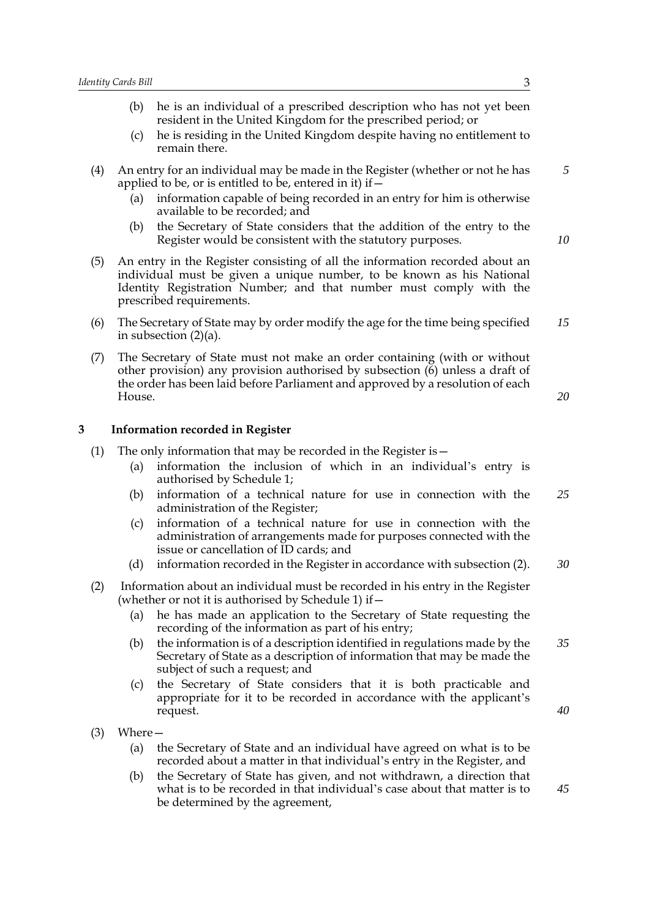- (b) he is an individual of a prescribed description who has not yet been resident in the United Kingdom for the prescribed period; or
- (c) he is residing in the United Kingdom despite having no entitlement to remain there.
- (4) An entry for an individual may be made in the Register (whether or not he has applied to be, or is entitled to be, entered in it) if  $-\frac{1}{2}$ 
	- (a) information capable of being recorded in an entry for him is otherwise available to be recorded; and
	- (b) the Secretary of State considers that the addition of the entry to the Register would be consistent with the statutory purposes.
- (5) An entry in the Register consisting of all the information recorded about an individual must be given a unique number, to be known as his National Identity Registration Number; and that number must comply with the prescribed requirements.
- (6) The Secretary of State may by order modify the age for the time being specified in subsection (2)(a). *15*
- (7) The Secretary of State must not make an order containing (with or without other provision) any provision authorised by subsection  $(\vec{6})$  unless a draft of the order has been laid before Parliament and approved by a resolution of each House.

#### **3 Information recorded in Register**

- (1) The only information that may be recorded in the Register is  $-$ 
	- (a) information the inclusion of which in an individual's entry is authorised by Schedule 1;
	- (b) information of a technical nature for use in connection with the administration of the Register; *25*
	- (c) information of a technical nature for use in connection with the administration of arrangements made for purposes connected with the issue or cancellation of ID cards; and
	- (d) information recorded in the Register in accordance with subsection (2). *30*
- (2) Information about an individual must be recorded in his entry in the Register (whether or not it is authorised by Schedule 1) if—
	- (a) he has made an application to the Secretary of State requesting the recording of the information as part of his entry;
	- (b) the information is of a description identified in regulations made by the Secretary of State as a description of information that may be made the subject of such a request; and *35*
	- (c) the Secretary of State considers that it is both practicable and appropriate for it to be recorded in accordance with the applicant's request.
- (3) Where—
	- (a) the Secretary of State and an individual have agreed on what is to be recorded about a matter in that individual's entry in the Register, and
	- (b) the Secretary of State has given, and not withdrawn, a direction that what is to be recorded in that individual's case about that matter is to be determined by the agreement,

*20*

*5*

*10*

*40*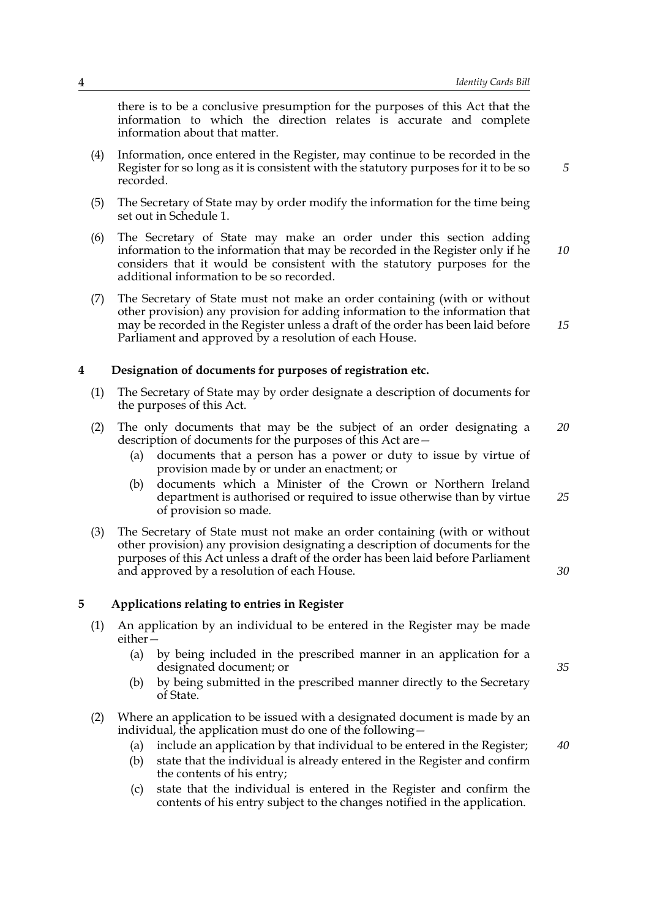there is to be a conclusive presumption for the purposes of this Act that the information to which the direction relates is accurate and complete information about that matter.

- (4) Information, once entered in the Register, may continue to be recorded in the Register for so long as it is consistent with the statutory purposes for it to be so recorded.
- (5) The Secretary of State may by order modify the information for the time being set out in Schedule 1.
- (6) The Secretary of State may make an order under this section adding information to the information that may be recorded in the Register only if he considers that it would be consistent with the statutory purposes for the additional information to be so recorded. *10*
- (7) The Secretary of State must not make an order containing (with or without other provision) any provision for adding information to the information that may be recorded in the Register unless a draft of the order has been laid before Parliament and approved by a resolution of each House.

#### **4 Designation of documents for purposes of registration etc.**

- (1) The Secretary of State may by order designate a description of documents for the purposes of this Act.
- (2) The only documents that may be the subject of an order designating a description of documents for the purposes of this Act are— *20*
	- (a) documents that a person has a power or duty to issue by virtue of provision made by or under an enactment; or
	- (b) documents which a Minister of the Crown or Northern Ireland department is authorised or required to issue otherwise than by virtue of provision so made.
- (3) The Secretary of State must not make an order containing (with or without other provision) any provision designating a description of documents for the purposes of this Act unless a draft of the order has been laid before Parliament and approved by a resolution of each House.

#### **5 Applications relating to entries in Register**

- (1) An application by an individual to be entered in the Register may be made either—
	- (a) by being included in the prescribed manner in an application for a designated document; or
	- (b) by being submitted in the prescribed manner directly to the Secretary of State.
- (2) Where an application to be issued with a designated document is made by an individual, the application must do one of the following—
	- (a) include an application by that individual to be entered in the Register;
	- (b) state that the individual is already entered in the Register and confirm the contents of his entry;
	- (c) state that the individual is entered in the Register and confirm the contents of his entry subject to the changes notified in the application.

*5*

*15*

*25*

*30*

*40*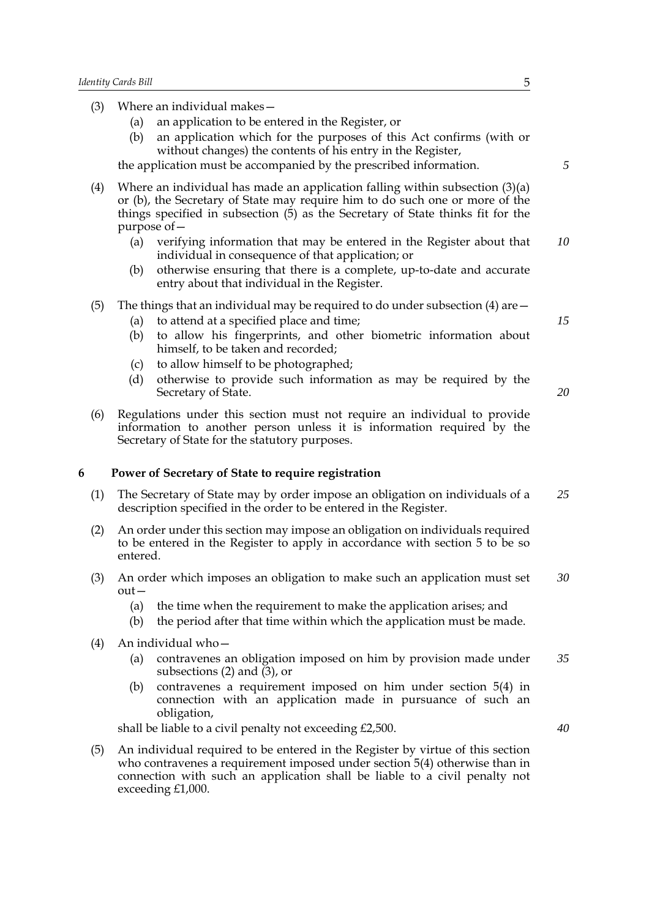- (3) Where an individual makes—
	- (a) an application to be entered in the Register, or
	- (b) an application which for the purposes of this Act confirms (with or without changes) the contents of his entry in the Register,

the application must be accompanied by the prescribed information.

- (4) Where an individual has made an application falling within subsection (3)(a) or (b), the Secretary of State may require him to do such one or more of the things specified in subsection (5) as the Secretary of State thinks fit for the purpose of—
	- (a) verifying information that may be entered in the Register about that individual in consequence of that application; or *10*
	- (b) otherwise ensuring that there is a complete, up-to-date and accurate entry about that individual in the Register.

## (5) The things that an individual may be required to do under subsection (4) are  $-$

- (a) to attend at a specified place and time;
- (b) to allow his fingerprints, and other biometric information about himself, to be taken and recorded;
- (c) to allow himself to be photographed;
- (d) otherwise to provide such information as may be required by the Secretary of State.

*20*

*40*

*15*

*5*

(6) Regulations under this section must not require an individual to provide information to another person unless it is information required by the Secretary of State for the statutory purposes.

#### **6 Power of Secretary of State to require registration**

- (1) The Secretary of State may by order impose an obligation on individuals of a description specified in the order to be entered in the Register. *25*
- (2) An order under this section may impose an obligation on individuals required to be entered in the Register to apply in accordance with section 5 to be so entered.
- (3) An order which imposes an obligation to make such an application must set out— *30*
	- (a) the time when the requirement to make the application arises; and
	- (b) the period after that time within which the application must be made.
- (4) An individual who—
	- (a) contravenes an obligation imposed on him by provision made under subsections (2) and (3), or *35*
	- (b) contravenes a requirement imposed on him under section 5(4) in connection with an application made in pursuance of such an obligation,

shall be liable to a civil penalty not exceeding £2,500.

(5) An individual required to be entered in the Register by virtue of this section who contravenes a requirement imposed under section 5(4) otherwise than in connection with such an application shall be liable to a civil penalty not exceeding £1,000.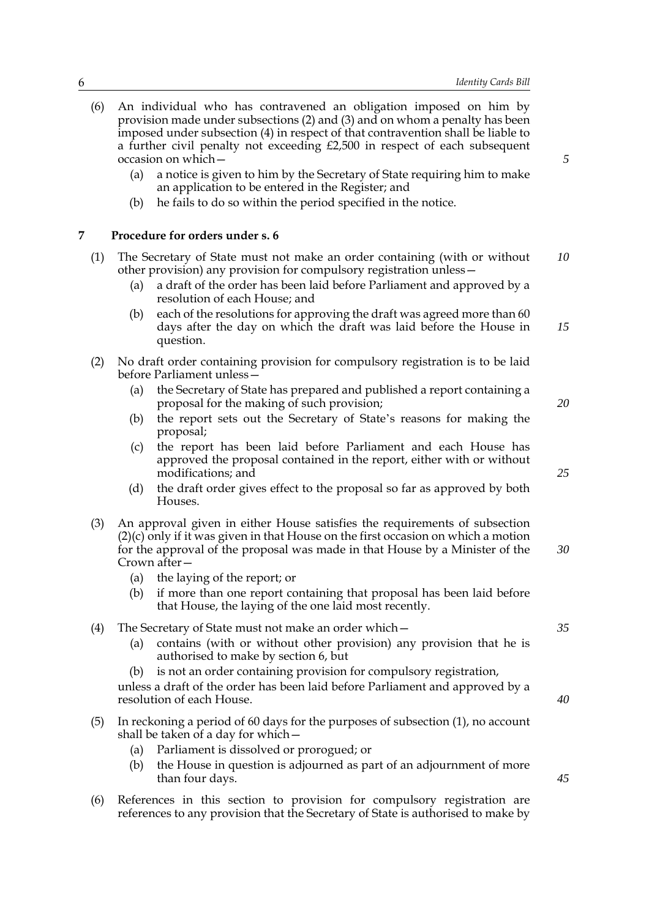- (6) An individual who has contravened an obligation imposed on him by provision made under subsections (2) and (3) and on whom a penalty has been imposed under subsection (4) in respect of that contravention shall be liable to a further civil penalty not exceeding £2,500 in respect of each subsequent occasion on which— (a) a notice is given to him by the Secretary of State requiring him to make an application to be entered in the Register; and (b) he fails to do so within the period specified in the notice. **7 Procedure for orders under s. 6** (1) The Secretary of State must not make an order containing (with or without other provision) any provision for compulsory registration unless— (a) a draft of the order has been laid before Parliament and approved by a resolution of each House; and (b) each of the resolutions for approving the draft was agreed more than 60 days after the day on which the draft was laid before the House in question. (2) No draft order containing provision for compulsory registration is to be laid before Parliament unless— (a) the Secretary of State has prepared and published a report containing a proposal for the making of such provision; (b) the report sets out the Secretary of State's reasons for making the proposal; (c) the report has been laid before Parliament and each House has approved the proposal contained in the report, either with or without modifications; and (d) the draft order gives effect to the proposal so far as approved by both Houses. (3) An approval given in either House satisfies the requirements of subsection (2)(c) only if it was given in that House on the first occasion on which a motion for the approval of the proposal was made in that House by a Minister of the Crown after— (a) the laying of the report; or (b) if more than one report containing that proposal has been laid before that House, the laying of the one laid most recently. (4) The Secretary of State must not make an order which— (a) contains (with or without other provision) any provision that he is authorised to make by section 6, but (b) is not an order containing provision for compulsory registration, unless a draft of the order has been laid before Parliament and approved by a resolution of each House. (5) In reckoning a period of 60 days for the purposes of subsection (1), no account shall be taken of a day for which— (a) Parliament is dissolved or prorogued; or (b) the House in question is adjourned as part of an adjournment of more than four days. *5 10 15 20 25 30 35 40 45*
	- (6) References in this section to provision for compulsory registration are references to any provision that the Secretary of State is authorised to make by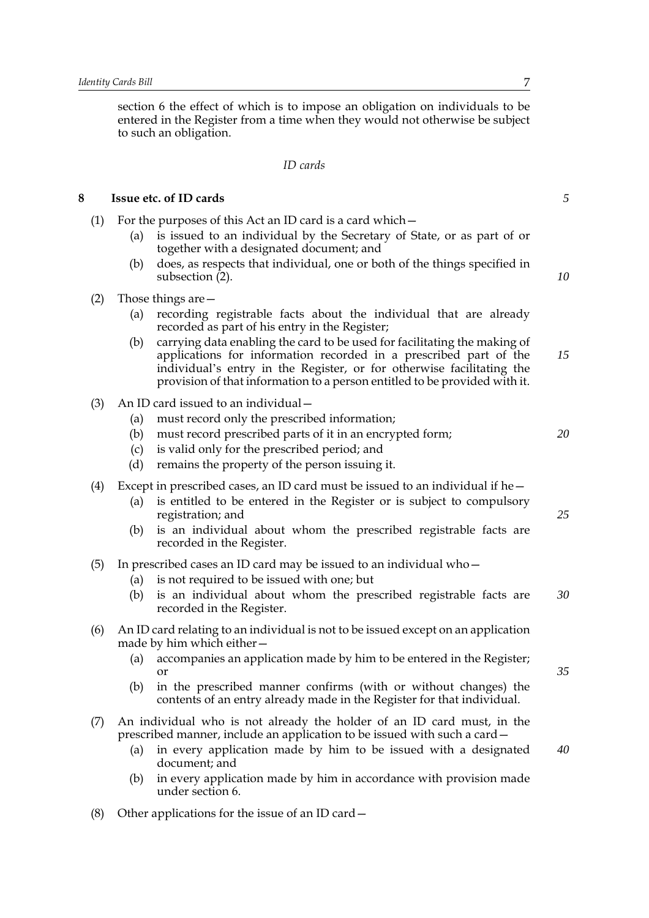section 6 the effect of which is to impose an obligation on individuals to be entered in the Register from a time when they would not otherwise be subject to such an obligation.

#### *ID cards*

#### **8 Issue etc. of ID cards**

- (1) For the purposes of this Act an ID card is a card which  $-$ 
	- (a) is issued to an individual by the Secretary of State, or as part of or together with a designated document; and
	- (b) does, as respects that individual, one or both of the things specified in subsection (2).

*10*

*20*

*25*

*5*

#### (2) Those things are—

- (a) recording registrable facts about the individual that are already recorded as part of his entry in the Register;
- (b) carrying data enabling the card to be used for facilitating the making of applications for information recorded in a prescribed part of the individual's entry in the Register, or for otherwise facilitating the provision of that information to a person entitled to be provided with it. *15*
- (3) An ID card issued to an individual—
	- (a) must record only the prescribed information;
	- (b) must record prescribed parts of it in an encrypted form;
	- (c) is valid only for the prescribed period; and
	- (d) remains the property of the person issuing it.

#### (4) Except in prescribed cases, an ID card must be issued to an individual if he

- (a) is entitled to be entered in the Register or is subject to compulsory registration; and
- (b) is an individual about whom the prescribed registrable facts are recorded in the Register.

#### (5) In prescribed cases an ID card may be issued to an individual who  $-$

- (a) is not required to be issued with one; but
- (b) is an individual about whom the prescribed registrable facts are recorded in the Register. *30*
- (6) An ID card relating to an individual is not to be issued except on an application made by him which either—
	- (a) accompanies an application made by him to be entered in the Register; or
	- (b) in the prescribed manner confirms (with or without changes) the contents of an entry already made in the Register for that individual.
- (7) An individual who is not already the holder of an ID card must, in the prescribed manner, include an application to be issued with such a card—
	- (a) in every application made by him to be issued with a designated document; and *40*
	- (b) in every application made by him in accordance with provision made under section 6.
- (8) Other applications for the issue of an ID card—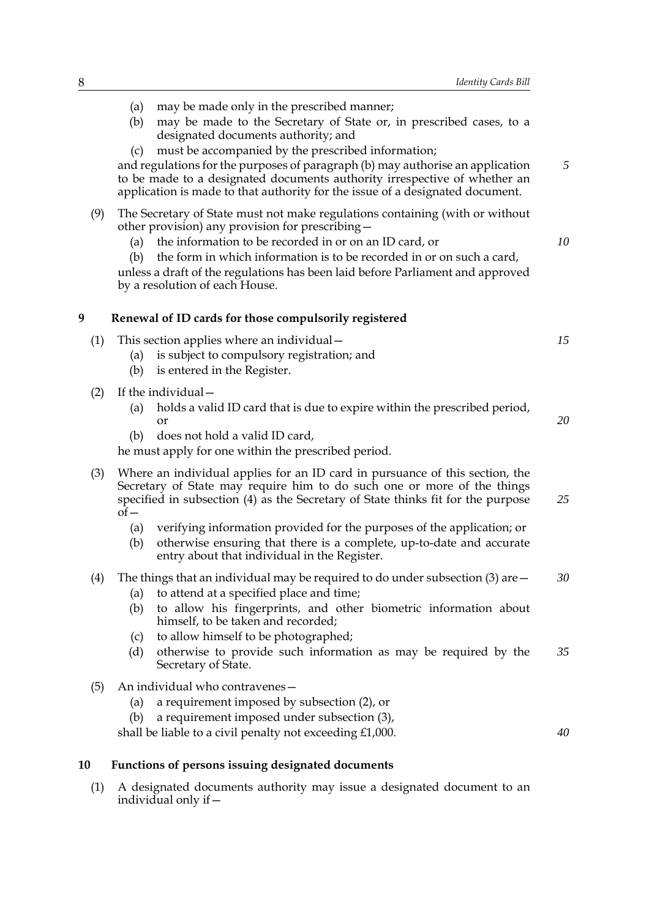(a) may be made only in the prescribed manner; (b) may be made to the Secretary of State or, in prescribed cases, to a designated documents authority; and (c) must be accompanied by the prescribed information; and regulations for the purposes of paragraph (b) may authorise an application to be made to a designated documents authority irrespective of whether an application is made to that authority for the issue of a designated document. (9) The Secretary of State must not make regulations containing (with or without other provision) any provision for prescribing— (a) the information to be recorded in or on an ID card, or (b) the form in which information is to be recorded in or on such a card, unless a draft of the regulations has been laid before Parliament and approved by a resolution of each House. **9 Renewal of ID cards for those compulsorily registered** (1) This section applies where an individual— (a) is subject to compulsory registration; and (b) is entered in the Register. (2) If the individual— (a) holds a valid ID card that is due to expire within the prescribed period, or (b) does not hold a valid ID card, he must apply for one within the prescribed period. (3) Where an individual applies for an ID card in pursuance of this section, the Secretary of State may require him to do such one or more of the things specified in subsection (4) as the Secretary of State thinks fit for the purpose  $\tilde{of}$ (a) verifying information provided for the purposes of the application; or (b) otherwise ensuring that there is a complete, up-to-date and accurate entry about that individual in the Register. (4) The things that an individual may be required to do under subsection (3) are  $-$ (a) to attend at a specified place and time; (b) to allow his fingerprints, and other biometric information about himself, to be taken and recorded; (c) to allow himself to be photographed; (d) otherwise to provide such information as may be required by the Secretary of State. (5) An individual who contravenes— (a) a requirement imposed by subsection (2), or (b) a requirement imposed under subsection (3), shall be liable to a civil penalty not exceeding £1,000. *5 10 15 20 25 30 35 40*

#### **10 Functions of persons issuing designated documents**

(1) A designated documents authority may issue a designated document to an individual only if—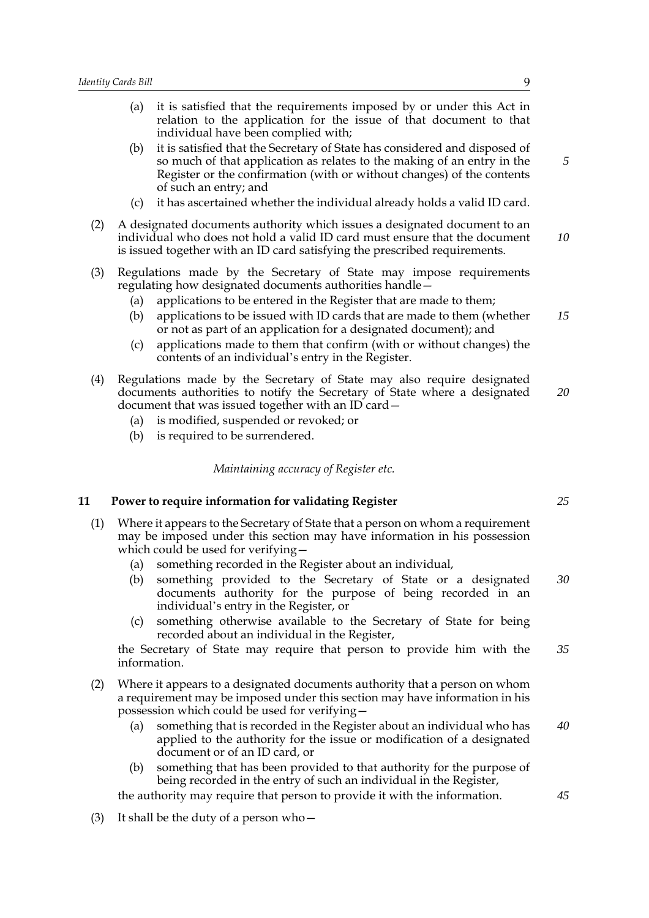- (a) it is satisfied that the requirements imposed by or under this Act in relation to the application for the issue of that document to that individual have been complied with;
- (b) it is satisfied that the Secretary of State has considered and disposed of so much of that application as relates to the making of an entry in the Register or the confirmation (with or without changes) of the contents of such an entry; and
- (c) it has ascertained whether the individual already holds a valid ID card.
- (2) A designated documents authority which issues a designated document to an individual who does not hold a valid ID card must ensure that the document is issued together with an ID card satisfying the prescribed requirements. *10*
- (3) Regulations made by the Secretary of State may impose requirements regulating how designated documents authorities handle—
	- (a) applications to be entered in the Register that are made to them;
	- (b) applications to be issued with ID cards that are made to them (whether or not as part of an application for a designated document); and *15*
	- (c) applications made to them that confirm (with or without changes) the contents of an individual's entry in the Register.
- (4) Regulations made by the Secretary of State may also require designated documents authorities to notify the Secretary of State where a designated document that was issued together with an ID card— *20*
	- (a) is modified, suspended or revoked; or
	- (b) is required to be surrendered.

*Maintaining accuracy of Register etc.*

#### **11 Power to require information for validating Register**

- (1) Where it appears to the Secretary of State that a person on whom a requirement may be imposed under this section may have information in his possession which could be used for verifying—
	- (a) something recorded in the Register about an individual,
	- (b) something provided to the Secretary of State or a designated documents authority for the purpose of being recorded in an individual's entry in the Register, or *30*
	- (c) something otherwise available to the Secretary of State for being recorded about an individual in the Register,

the Secretary of State may require that person to provide him with the information. *35*

- (2) Where it appears to a designated documents authority that a person on whom a requirement may be imposed under this section may have information in his possession which could be used for verifying—
	- (a) something that is recorded in the Register about an individual who has applied to the authority for the issue or modification of a designated document or of an ID card, or *40*
	- (b) something that has been provided to that authority for the purpose of being recorded in the entry of such an individual in the Register,

the authority may require that person to provide it with the information.

(3) It shall be the duty of a person who  $-$ 

*5*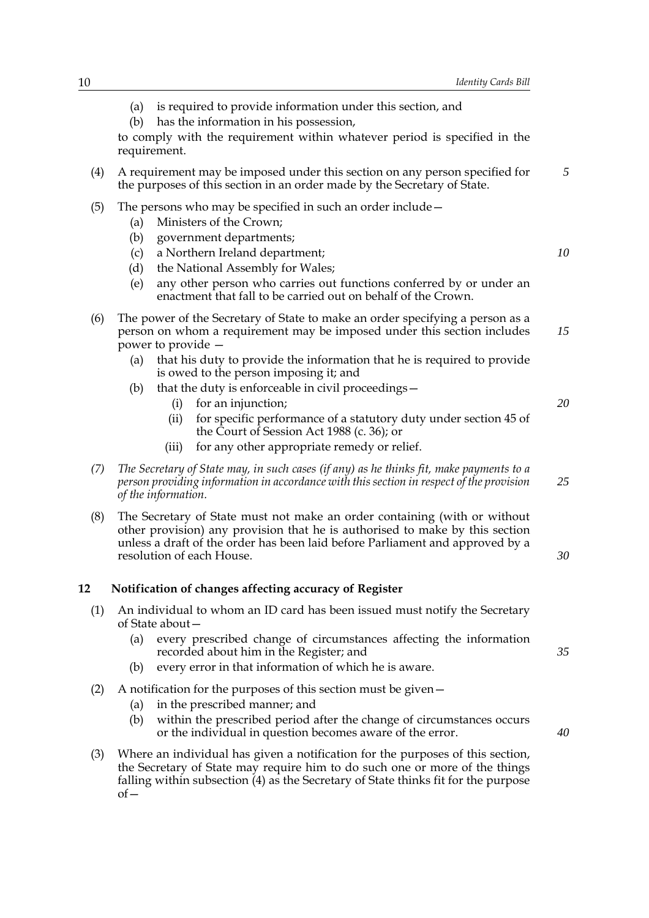- (a) is required to provide information under this section, and (b) has the information in his possession, to comply with the requirement within whatever period is specified in the requirement. (4) A requirement may be imposed under this section on any person specified for the purposes of this section in an order made by the Secretary of State. (5) The persons who may be specified in such an order include— (a) Ministers of the Crown; (b) government departments; (c) a Northern Ireland department; (d) the National Assembly for Wales; (e) any other person who carries out functions conferred by or under an enactment that fall to be carried out on behalf of the Crown. (6) The power of the Secretary of State to make an order specifying a person as a person on whom a requirement may be imposed under this section includes power to provide — (a) that his duty to provide the information that he is required to provide is owed to the person imposing it; and (b) that the duty is enforceable in civil proceedings— (i) for an injunction; (ii) for specific performance of a statutory duty under section 45 of the Court of Session Act 1988 (c. 36); or (iii) for any other appropriate remedy or relief. *(7) The Secretary of State may, in such cases (if any) as he thinks fit, make payments to a person providing information in accordance with this section in respect of the provision of the information.* (8) The Secretary of State must not make an order containing (with or without other provision) any provision that he is authorised to make by this section unless a draft of the order has been laid before Parliament and approved by a resolution of each House. **12 Notification of changes affecting accuracy of Register** (1) An individual to whom an ID card has been issued must notify the Secretary of State about— (a) every prescribed change of circumstances affecting the information recorded about him in the Register; and (b) every error in that information of which he is aware. (2) A notification for the purposes of this section must be given— (a) in the prescribed manner; and (b) within the prescribed period after the change of circumstances occurs or the individual in question becomes aware of the error. *5 10 15 20 25 30 35 40*
	- (3) Where an individual has given a notification for the purposes of this section, the Secretary of State may require him to do such one or more of the things falling within subsection (4) as the Secretary of State thinks fit for the purpose of—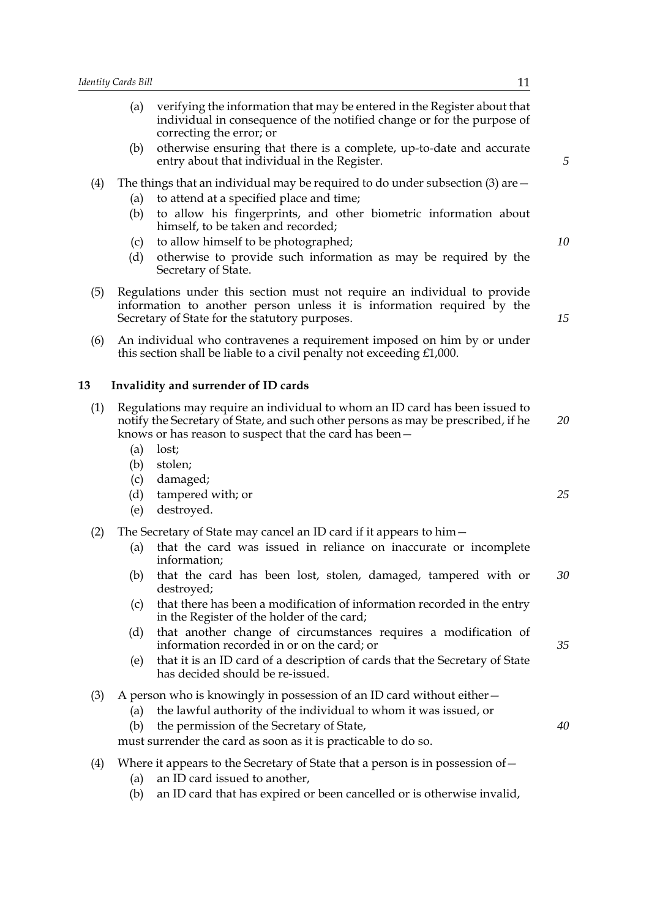|     | (a)<br>correcting the error; or                                                                                           | verifying the information that may be entered in the Register about that<br>individual in consequence of the notified change or for the purpose of               |    |
|-----|---------------------------------------------------------------------------------------------------------------------------|------------------------------------------------------------------------------------------------------------------------------------------------------------------|----|
|     | (b)<br>entry about that individual in the Register.                                                                       | otherwise ensuring that there is a complete, up-to-date and accurate                                                                                             | 5  |
| (4) | to attend at a specified place and time;<br>(a)<br>(b)                                                                    | The things that an individual may be required to do under subsection $(3)$ are $-$<br>to allow his fingerprints, and other biometric information about           |    |
|     | himself, to be taken and recorded;<br>to allow himself to be photographed;<br>(c)                                         |                                                                                                                                                                  | 10 |
|     | (d)<br>Secretary of State.                                                                                                | otherwise to provide such information as may be required by the                                                                                                  |    |
| (5) | Secretary of State for the statutory purposes.                                                                            | Regulations under this section must not require an individual to provide<br>information to another person unless it is information required by the               | 15 |
| (6) |                                                                                                                           | An individual who contravenes a requirement imposed on him by or under<br>this section shall be liable to a civil penalty not exceeding £1,000.                  |    |
| 13  | Invalidity and surrender of ID cards                                                                                      |                                                                                                                                                                  |    |
| (1) | knows or has reason to suspect that the card has been -<br>lost;<br>(a)                                                   | Regulations may require an individual to whom an ID card has been issued to<br>notify the Secretary of State, and such other persons as may be prescribed, if he | 20 |
|     | stolen;<br>(b)<br>damaged;<br>(c)                                                                                         |                                                                                                                                                                  |    |
|     | tampered with; or<br>(d)<br>destroyed.<br>(e)                                                                             |                                                                                                                                                                  | 25 |
| (2) | (a)<br>information;                                                                                                       | The Secretary of State may cancel an ID card if it appears to him –<br>that the card was issued in reliance on inaccurate or incomplete                          |    |
|     | (b)<br>destroyed;                                                                                                         | that the card has been lost, stolen, damaged, tampered with or                                                                                                   | 30 |
|     | (c)<br>in the Register of the holder of the card;                                                                         | that there has been a modification of information recorded in the entry                                                                                          |    |
|     | (d)<br>information recorded in or on the card; or                                                                         | that another change of circumstances requires a modification of                                                                                                  | 35 |
|     | (e)<br>has decided should be re-issued.                                                                                   | that it is an ID card of a description of cards that the Secretary of State                                                                                      |    |
| (3) | (a)<br>the permission of the Secretary of State,<br>(b)<br>must surrender the card as soon as it is practicable to do so. | A person who is knowingly in possession of an ID card without either –<br>the lawful authority of the individual to whom it was issued, or                       | 40 |
| (4) | an ID card issued to another,<br>(a)                                                                                      | Where it appears to the Secretary of State that a person is in possession of $-$                                                                                 |    |

(b) an ID card that has expired or been cancelled or is otherwise invalid,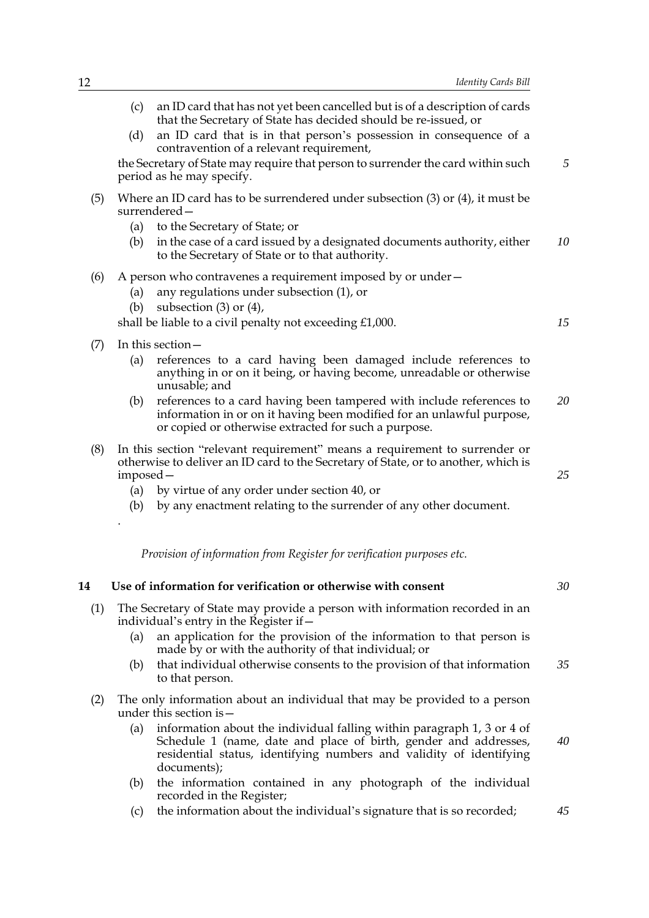|     | (c)        | an ID card that has not yet been cancelled but is of a description of cards                                                                                                                                                                             |    |
|-----|------------|---------------------------------------------------------------------------------------------------------------------------------------------------------------------------------------------------------------------------------------------------------|----|
|     | (d)        | that the Secretary of State has decided should be re-issued, or<br>an ID card that is in that person's possession in consequence of a<br>contravention of a relevant requirement,                                                                       |    |
|     |            | the Secretary of State may require that person to surrender the card within such<br>period as he may specify.                                                                                                                                           | 5  |
| (5) | (a)<br>(b) | Where an ID card has to be surrendered under subsection $(3)$ or $(4)$ , it must be<br>surrendered-<br>to the Secretary of State; or<br>in the case of a card issued by a designated documents authority, either                                        | 10 |
| (6) | (a)<br>(b) | to the Secretary of State or to that authority.<br>A person who contravenes a requirement imposed by or under –<br>any regulations under subsection (1), or<br>subsection $(3)$ or $(4)$ ,<br>shall be liable to a civil penalty not exceeding £1,000.  | 15 |
| (7) | (a)        | In this section -<br>references to a card having been damaged include references to<br>anything in or on it being, or having become, unreadable or otherwise<br>unusable; and                                                                           |    |
|     | (b)        | references to a card having been tampered with include references to<br>information in or on it having been modified for an unlawful purpose,<br>or copied or otherwise extracted for such a purpose.                                                   | 20 |
| (8) | imposed-   | In this section "relevant requirement" means a requirement to surrender or<br>otherwise to deliver an ID card to the Secretary of State, or to another, which is                                                                                        | 25 |
|     | (a)<br>(b) | by virtue of any order under section 40, or<br>by any enactment relating to the surrender of any other document.                                                                                                                                        |    |
|     |            | Provision of information from Register for verification purposes etc.                                                                                                                                                                                   |    |
| 14  |            | Use of information for verification or otherwise with consent                                                                                                                                                                                           | 30 |
| (1) | (a)        | The Secretary of State may provide a person with information recorded in an<br>individual's entry in the Register if -<br>an application for the provision of the information to that person is<br>made by or with the authority of that individual; or |    |
|     | (b)        | that individual otherwise consents to the provision of that information<br>to that person.                                                                                                                                                              | 35 |
| (2) |            | The only information about an individual that may be provided to a person<br>under this section is $-$                                                                                                                                                  |    |

- (a) information about the individual falling within paragraph 1, 3 or 4 of Schedule 1 (name, date and place of birth, gender and addresses, residential status, identifying numbers and validity of identifying documents);
- (b) the information contained in any photograph of the individual recorded in the Register;
- (c) the information about the individual's signature that is so recorded;

*40*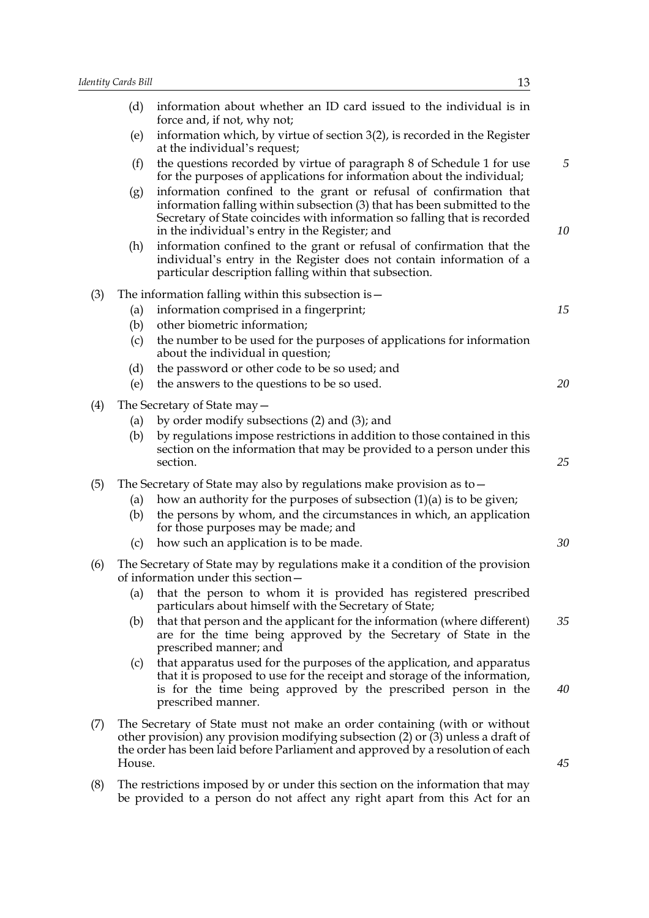|     | (d)        | information about whether an ID card issued to the individual is in<br>force and, if not, why not;                                                                                                                                                                           |    |
|-----|------------|------------------------------------------------------------------------------------------------------------------------------------------------------------------------------------------------------------------------------------------------------------------------------|----|
|     | (e)        | information which, by virtue of section 3(2), is recorded in the Register<br>at the individual's request;                                                                                                                                                                    |    |
|     | (f)        | the questions recorded by virtue of paragraph 8 of Schedule 1 for use<br>for the purposes of applications for information about the individual;                                                                                                                              | 5  |
|     | (g)        | information confined to the grant or refusal of confirmation that<br>information falling within subsection (3) that has been submitted to the<br>Secretary of State coincides with information so falling that is recorded<br>in the individual's entry in the Register; and | 10 |
|     | (h)        | information confined to the grant or refusal of confirmation that the<br>individual's entry in the Register does not contain information of a<br>particular description falling within that subsection.                                                                      |    |
| (3) |            | The information falling within this subsection is $-$                                                                                                                                                                                                                        |    |
|     | (a)        | information comprised in a fingerprint;<br>other biometric information;                                                                                                                                                                                                      | 15 |
|     | (b)<br>(c) | the number to be used for the purposes of applications for information<br>about the individual in question;                                                                                                                                                                  |    |
|     | (d)        | the password or other code to be so used; and                                                                                                                                                                                                                                |    |
|     | (e)        | the answers to the questions to be so used.                                                                                                                                                                                                                                  | 20 |
| (4) |            | The Secretary of State may -                                                                                                                                                                                                                                                 |    |
|     | (a)<br>(b) | by order modify subsections (2) and (3); and<br>by regulations impose restrictions in addition to those contained in this<br>section on the information that may be provided to a person under this<br>section.                                                              | 25 |
| (5) |            | The Secretary of State may also by regulations make provision as to $-$                                                                                                                                                                                                      |    |
|     | (a)<br>(b) | how an authority for the purposes of subsection $(1)(a)$ is to be given;<br>the persons by whom, and the circumstances in which, an application<br>for those purposes may be made; and                                                                                       |    |
|     | (c)        | how such an application is to be made.                                                                                                                                                                                                                                       | 30 |
| (6) |            | The Secretary of State may by regulations make it a condition of the provision<br>of information under this section –                                                                                                                                                        |    |
|     | (a)        | that the person to whom it is provided has registered prescribed<br>particulars about himself with the Secretary of State;                                                                                                                                                   |    |
|     | (b)        | that that person and the applicant for the information (where different)<br>are for the time being approved by the Secretary of State in the<br>prescribed manner; and                                                                                                       | 35 |
|     | (c)        | that apparatus used for the purposes of the application, and apparatus<br>that it is proposed to use for the receipt and storage of the information,<br>is for the time being approved by the prescribed person in the<br>prescribed manner.                                 | 40 |
| (7) | House.     | The Secretary of State must not make an order containing (with or without<br>other provision) any provision modifying subsection $(2)$ or $(3)$ unless a draft of<br>the order has been laid before Parliament and approved by a resolution of each                          | 45 |
|     |            |                                                                                                                                                                                                                                                                              |    |

(8) The restrictions imposed by or under this section on the information that may be provided to a person do not affect any right apart from this Act for an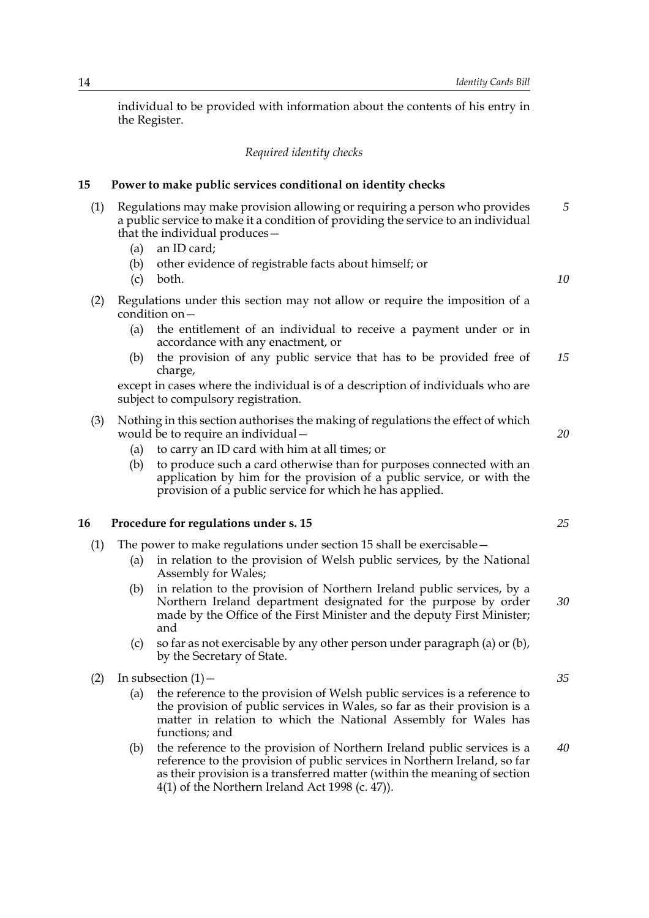individual to be provided with information about the contents of his entry in the Register.

#### *Required identity checks*

#### **15 Power to make public services conditional on identity checks**

- (1) Regulations may make provision allowing or requiring a person who provides a public service to make it a condition of providing the service to an individual that the individual produces— *5*
	- (a) an ID card;
	- (b) other evidence of registrable facts about himself; or
	- (c) both.
- (2) Regulations under this section may not allow or require the imposition of a condition on—
	- (a) the entitlement of an individual to receive a payment under or in accordance with any enactment, or
	- (b) the provision of any public service that has to be provided free of charge, *15*

except in cases where the individual is of a description of individuals who are subject to compulsory registration.

- (3) Nothing in this section authorises the making of regulations the effect of which would be to require an individual—
	- (a) to carry an ID card with him at all times; or
	- (b) to produce such a card otherwise than for purposes connected with an application by him for the provision of a public service, or with the provision of a public service for which he has applied.

#### **16 Procedure for regulations under s. 15**

- (1) The power to make regulations under section 15 shall be exercisable—
	- (a) in relation to the provision of Welsh public services, by the National Assembly for Wales;
	- (b) in relation to the provision of Northern Ireland public services, by a Northern Ireland department designated for the purpose by order made by the Office of the First Minister and the deputy First Minister; and *30*
	- (c) so far as not exercisable by any other person under paragraph (a) or (b), by the Secretary of State.
- (2) In subsection  $(1)$ 
	- (a) the reference to the provision of Welsh public services is a reference to the provision of public services in Wales, so far as their provision is a matter in relation to which the National Assembly for Wales has functions; and
	- (b) the reference to the provision of Northern Ireland public services is a reference to the provision of public services in Northern Ireland, so far as their provision is a transferred matter (within the meaning of section 4(1) of the Northern Ireland Act 1998 (c. 47)).

*40*

*35*

*20*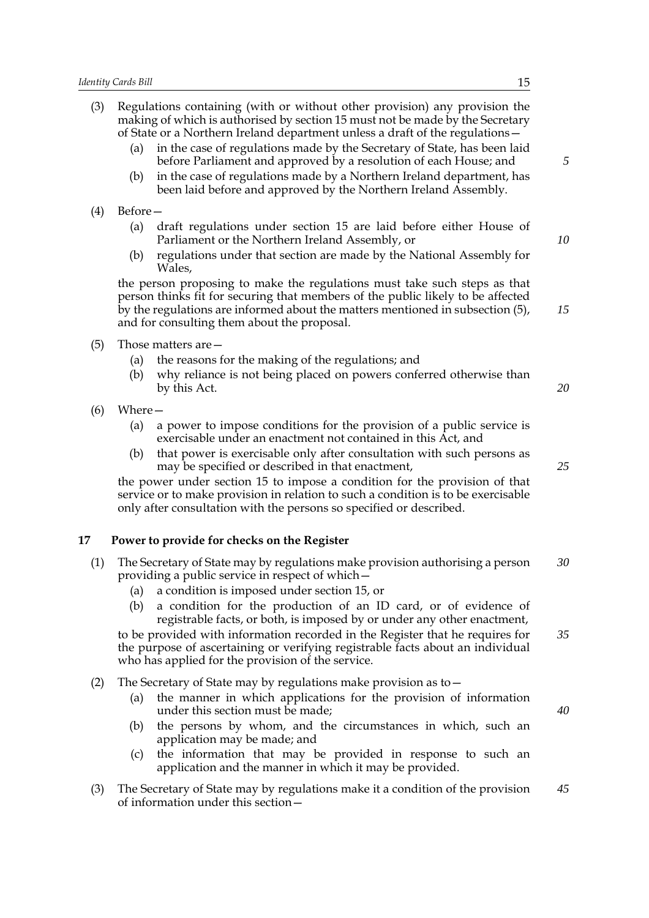(3) Regulations containing (with or without other provision) any provision the making of which is authorised by section 15 must not be made by the Secretary of State or a Northern Ireland department unless a draft of the regulations— (a) in the case of regulations made by the Secretary of State, has been laid before Parliament and approved by a resolution of each House; and (b) in the case of regulations made by a Northern Ireland department, has been laid before and approved by the Northern Ireland Assembly. (4) Before— (a) draft regulations under section 15 are laid before either House of Parliament or the Northern Ireland Assembly, or (b) regulations under that section are made by the National Assembly for Wales, the person proposing to make the regulations must take such steps as that person thinks fit for securing that members of the public likely to be affected by the regulations are informed about the matters mentioned in subsection (5), and for consulting them about the proposal. (5) Those matters are— (a) the reasons for the making of the regulations; and (b) why reliance is not being placed on powers conferred otherwise than by this Act. (6) Where— (a) a power to impose conditions for the provision of a public service is exercisable under an enactment not contained in this Act, and (b) that power is exercisable only after consultation with such persons as may be specified or described in that enactment, the power under section 15 to impose a condition for the provision of that service or to make provision in relation to such a condition is to be exercisable only after consultation with the persons so specified or described. **17 Power to provide for checks on the Register** (1) The Secretary of State may by regulations make provision authorising a person providing a public service in respect of which— (a) a condition is imposed under section 15, or (b) a condition for the production of an ID card, or of evidence of registrable facts, or both, is imposed by or under any other enactment, *5 10 15 20 25 30*

to be provided with information recorded in the Register that he requires for the purpose of ascertaining or verifying registrable facts about an individual who has applied for the provision of the service. *35*

- (2) The Secretary of State may by regulations make provision as to—
	- (a) the manner in which applications for the provision of information under this section must be made;
	- (b) the persons by whom, and the circumstances in which, such an application may be made; and
	- (c) the information that may be provided in response to such an application and the manner in which it may be provided.
- (3) The Secretary of State may by regulations make it a condition of the provision of information under this section— *45*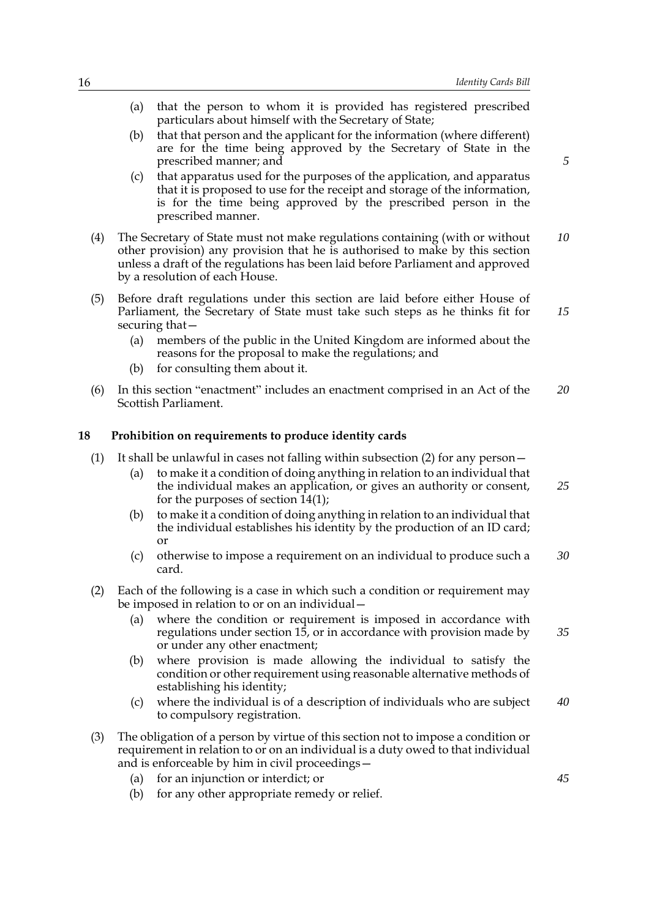- (a) that the person to whom it is provided has registered prescribed particulars about himself with the Secretary of State;
- (b) that that person and the applicant for the information (where different) are for the time being approved by the Secretary of State in the prescribed manner; and
- (c) that apparatus used for the purposes of the application, and apparatus that it is proposed to use for the receipt and storage of the information, is for the time being approved by the prescribed person in the prescribed manner.
- (4) The Secretary of State must not make regulations containing (with or without other provision) any provision that he is authorised to make by this section unless a draft of the regulations has been laid before Parliament and approved by a resolution of each House. *10*
- (5) Before draft regulations under this section are laid before either House of Parliament, the Secretary of State must take such steps as he thinks fit for securing that—
	- (a) members of the public in the United Kingdom are informed about the reasons for the proposal to make the regulations; and
	- (b) for consulting them about it.
- (6) In this section "enactment" includes an enactment comprised in an Act of the Scottish Parliament. *20*

#### **18 Prohibition on requirements to produce identity cards**

- (1) It shall be unlawful in cases not falling within subsection (2) for any person—
	- (a) to make it a condition of doing anything in relation to an individual that the individual makes an application, or gives an authority or consent, for the purposes of section 14(1); *25*
	- (b) to make it a condition of doing anything in relation to an individual that the individual establishes his identity by the production of an ID card; or
	- (c) otherwise to impose a requirement on an individual to produce such a card. *30*
- (2) Each of the following is a case in which such a condition or requirement may be imposed in relation to or on an individual—
	- (a) where the condition or requirement is imposed in accordance with regulations under section 15, or in accordance with provision made by or under any other enactment; *35*
	- (b) where provision is made allowing the individual to satisfy the condition or other requirement using reasonable alternative methods of establishing his identity;
	- (c) where the individual is of a description of individuals who are subject to compulsory registration. *40*
- (3) The obligation of a person by virtue of this section not to impose a condition or requirement in relation to or on an individual is a duty owed to that individual and is enforceable by him in civil proceedings—
	- (a) for an injunction or interdict; or
	- (b) for any other appropriate remedy or relief.

*5*

*15*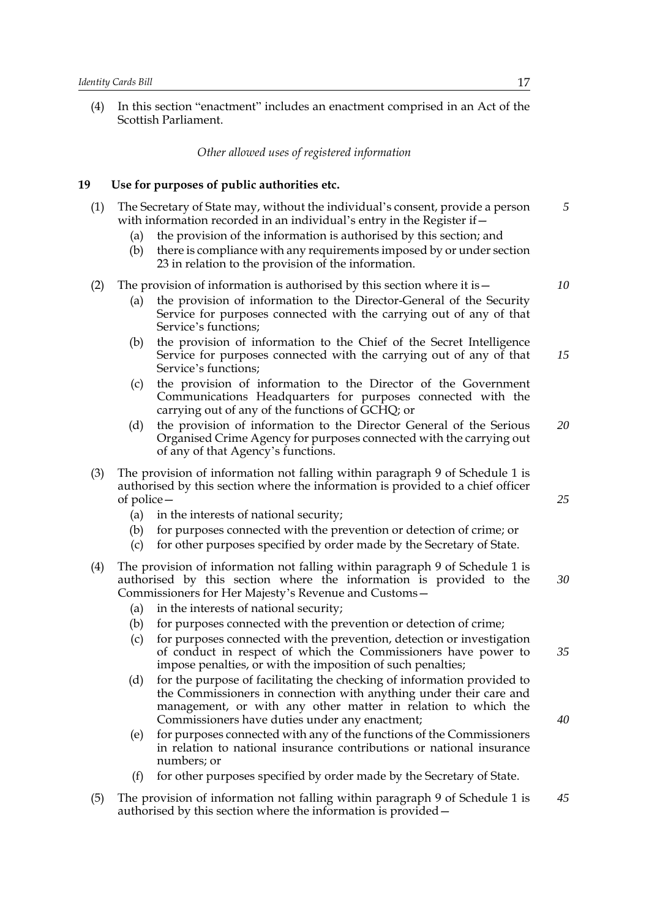(4) In this section "enactment" includes an enactment comprised in an Act of the Scottish Parliament.

*Other allowed uses of registered information*

#### **19 Use for purposes of public authorities etc.**

- (1) The Secretary of State may, without the individual's consent, provide a person with information recorded in an individual's entry in the Register if -*5*
	- (a) the provision of the information is authorised by this section; and
	- (b) there is compliance with any requirements imposed by or under section 23 in relation to the provision of the information.
- (2) The provision of information is authorised by this section where it is  $-$ (a) the provision of information to the Director-General of the Security Service for purposes connected with the carrying out of any of that Service's functions;
	- (b) the provision of information to the Chief of the Secret Intelligence Service for purposes connected with the carrying out of any of that Service's functions; *15*
	- (c) the provision of information to the Director of the Government Communications Headquarters for purposes connected with the carrying out of any of the functions of GCHQ; or
	- (d) the provision of information to the Director General of the Serious Organised Crime Agency for purposes connected with the carrying out of any of that Agency's functions. *20*
- (3) The provision of information not falling within paragraph 9 of Schedule 1 is authorised by this section where the information is provided to a chief officer of police—
	- (a) in the interests of national security;
	- (b) for purposes connected with the prevention or detection of crime; or
	- (c) for other purposes specified by order made by the Secretary of State.
- (4) The provision of information not falling within paragraph 9 of Schedule 1 is authorised by this section where the information is provided to the Commissioners for Her Majesty's Revenue and Customs— *30*
	- (a) in the interests of national security;
	- (b) for purposes connected with the prevention or detection of crime;
	- (c) for purposes connected with the prevention, detection or investigation of conduct in respect of which the Commissioners have power to impose penalties, or with the imposition of such penalties;
	- (d) for the purpose of facilitating the checking of information provided to the Commissioners in connection with anything under their care and management, or with any other matter in relation to which the Commissioners have duties under any enactment;
	- (e) for purposes connected with any of the functions of the Commissioners in relation to national insurance contributions or national insurance numbers; or
	- (f) for other purposes specified by order made by the Secretary of State.
- (5) The provision of information not falling within paragraph 9 of Schedule 1 is authorised by this section where the information is provided— *45*

*10*

*25*

*40*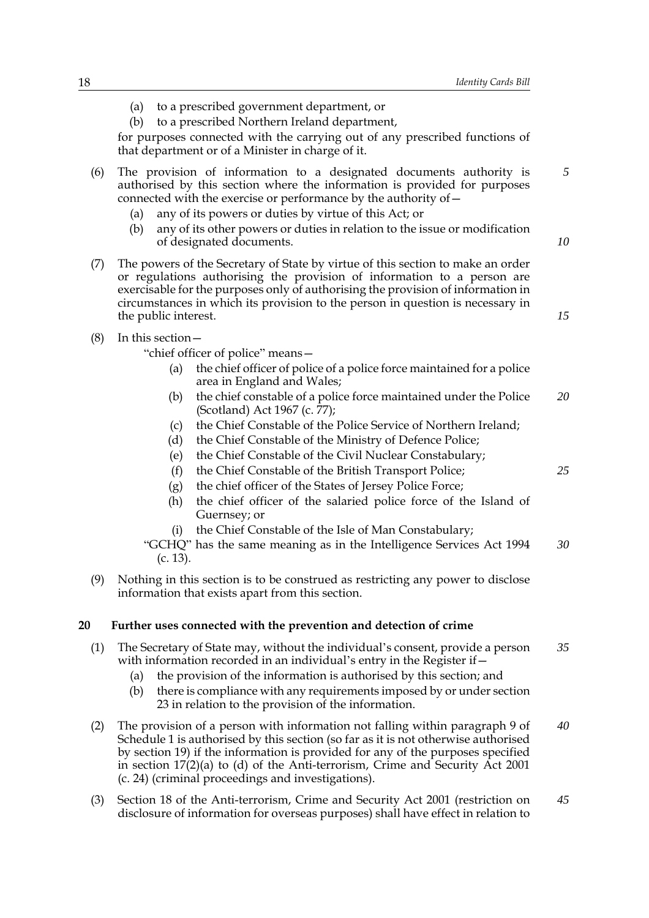*5*

*10*

*15*

*25*

- (a) to a prescribed government department, or
- (b) to a prescribed Northern Ireland department,

for purposes connected with the carrying out of any prescribed functions of that department or of a Minister in charge of it.

- (6) The provision of information to a designated documents authority is authorised by this section where the information is provided for purposes connected with the exercise or performance by the authority of  $-$ 
	- (a) any of its powers or duties by virtue of this Act; or
	- (b) any of its other powers or duties in relation to the issue or modification of designated documents.
- (7) The powers of the Secretary of State by virtue of this section to make an order or regulations authorising the provision of information to a person are exercisable for the purposes only of authorising the provision of information in circumstances in which its provision to the person in question is necessary in the public interest.
- (8) In this section—

"chief officer of police" means—

- (a) the chief officer of police of a police force maintained for a police area in England and Wales;
- (b) the chief constable of a police force maintained under the Police (Scotland) Act 1967 (c. 77); *20*
- (c) the Chief Constable of the Police Service of Northern Ireland;
- (d) the Chief Constable of the Ministry of Defence Police;
- (e) the Chief Constable of the Civil Nuclear Constabulary;
- (f) the Chief Constable of the British Transport Police;
- (g) the chief officer of the States of Jersey Police Force;
- (h) the chief officer of the salaried police force of the Island of Guernsey; or
- (i) the Chief Constable of the Isle of Man Constabulary;
- "GCHQ" has the same meaning as in the Intelligence Services Act 1994 (c. 13). *30*
- (9) Nothing in this section is to be construed as restricting any power to disclose information that exists apart from this section.

#### **20 Further uses connected with the prevention and detection of crime**

- (1) The Secretary of State may, without the individual's consent, provide a person with information recorded in an individual's entry in the Register if -*35*
	- (a) the provision of the information is authorised by this section; and
	- (b) there is compliance with any requirements imposed by or under section 23 in relation to the provision of the information.
- (2) The provision of a person with information not falling within paragraph 9 of Schedule 1 is authorised by this section (so far as it is not otherwise authorised by section 19) if the information is provided for any of the purposes specified in section 17(2)(a) to (d) of the Anti-terrorism, Crime and Security Act 2001 (c. 24) (criminal proceedings and investigations). *40*
- (3) Section 18 of the Anti-terrorism, Crime and Security Act 2001 (restriction on disclosure of information for overseas purposes) shall have effect in relation to *45*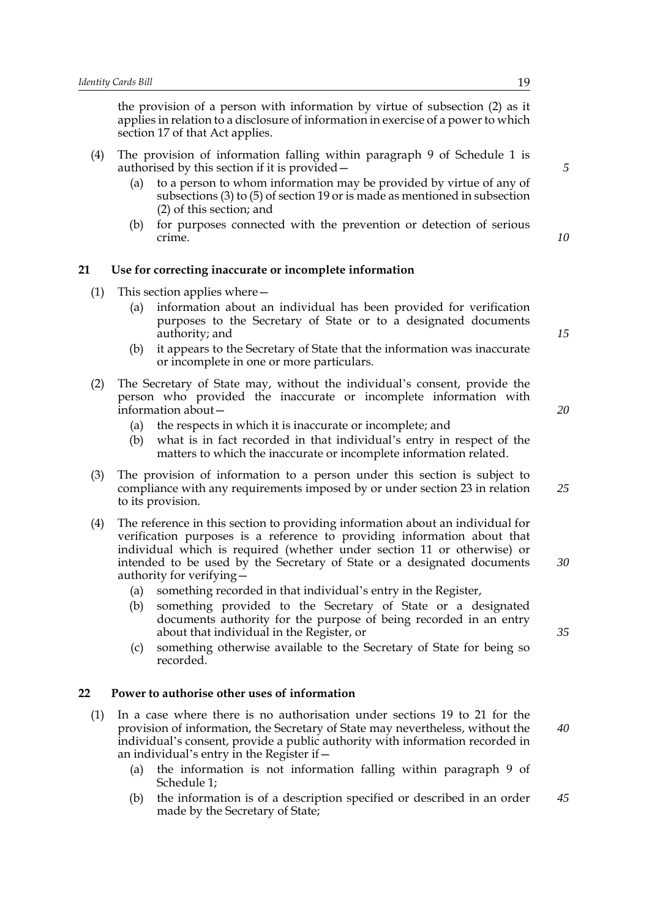the provision of a person with information by virtue of subsection (2) as it applies in relation to a disclosure of information in exercise of a power to which section 17 of that Act applies.

- (4) The provision of information falling within paragraph 9 of Schedule 1 is authorised by this section if it is provided—
	- (a) to a person to whom information may be provided by virtue of any of subsections (3) to (5) of section 19 or is made as mentioned in subsection (2) of this section; and
	- (b) for purposes connected with the prevention or detection of serious crime.

#### *10*

*5*

#### **21 Use for correcting inaccurate or incomplete information**

- (1) This section applies where—
	- (a) information about an individual has been provided for verification purposes to the Secretary of State or to a designated documents authority; and
	- (b) it appears to the Secretary of State that the information was inaccurate or incomplete in one or more particulars.
- (2) The Secretary of State may, without the individual's consent, provide the person who provided the inaccurate or incomplete information with information about—
	- (a) the respects in which it is inaccurate or incomplete; and
	- (b) what is in fact recorded in that individual's entry in respect of the matters to which the inaccurate or incomplete information related.
- (3) The provision of information to a person under this section is subject to compliance with any requirements imposed by or under section 23 in relation to its provision. *25*
- (4) The reference in this section to providing information about an individual for verification purposes is a reference to providing information about that individual which is required (whether under section 11 or otherwise) or intended to be used by the Secretary of State or a designated documents authority for verifying— *30*
	- (a) something recorded in that individual's entry in the Register,
	- (b) something provided to the Secretary of State or a designated documents authority for the purpose of being recorded in an entry about that individual in the Register, or
	- (c) something otherwise available to the Secretary of State for being so recorded.

#### **22 Power to authorise other uses of information**

- (1) In a case where there is no authorisation under sections 19 to 21 for the provision of information, the Secretary of State may nevertheless, without the individual's consent, provide a public authority with information recorded in an individual's entry in the Register if—
	- (a) the information is not information falling within paragraph 9 of Schedule 1;
	- (b) the information is of a description specified or described in an order made by the Secretary of State; *45*

*15*

*20*

#### *35*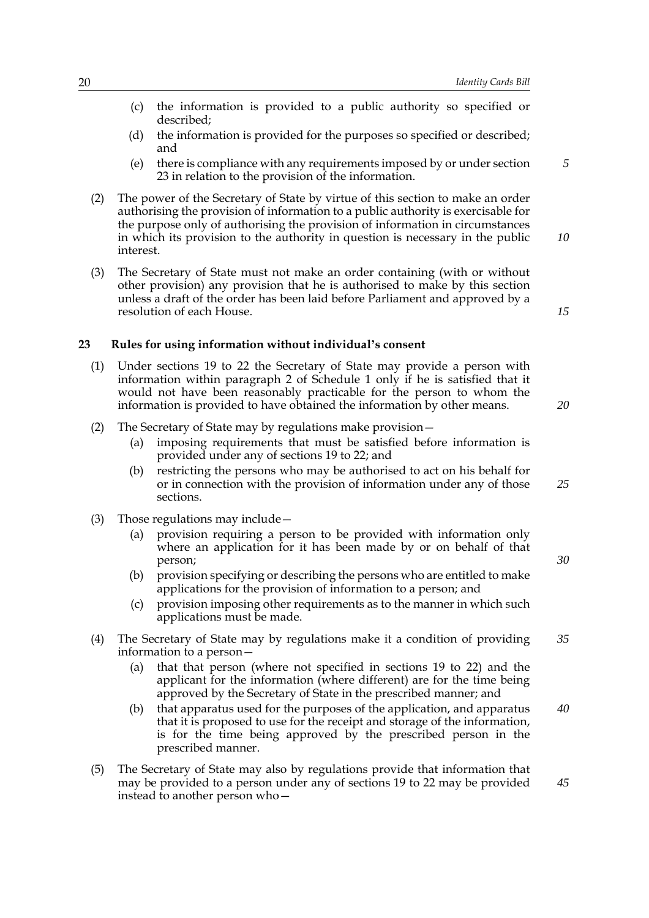- (c) the information is provided to a public authority so specified or described;
- (d) the information is provided for the purposes so specified or described; and
- (e) there is compliance with any requirements imposed by or under section 23 in relation to the provision of the information.
- (2) The power of the Secretary of State by virtue of this section to make an order authorising the provision of information to a public authority is exercisable for the purpose only of authorising the provision of information in circumstances in which its provision to the authority in question is necessary in the public interest. *10*
- (3) The Secretary of State must not make an order containing (with or without other provision) any provision that he is authorised to make by this section unless a draft of the order has been laid before Parliament and approved by a resolution of each House.

*15*

*20*

*5*

#### **23 Rules for using information without individual's consent**

- (1) Under sections 19 to 22 the Secretary of State may provide a person with information within paragraph 2 of Schedule 1 only if he is satisfied that it would not have been reasonably practicable for the person to whom the information is provided to have obtained the information by other means.
- (2) The Secretary of State may by regulations make provision—
	- (a) imposing requirements that must be satisfied before information is provided under any of sections 19 to 22; and
	- (b) restricting the persons who may be authorised to act on his behalf for or in connection with the provision of information under any of those sections. *25*
- (3) Those regulations may include—
	- (a) provision requiring a person to be provided with information only where an application for it has been made by or on behalf of that person;
	- (b) provision specifying or describing the persons who are entitled to make applications for the provision of information to a person; and
	- (c) provision imposing other requirements as to the manner in which such applications must be made.
- (4) The Secretary of State may by regulations make it a condition of providing information to a person— *35*
	- (a) that that person (where not specified in sections 19 to 22) and the applicant for the information (where different) are for the time being approved by the Secretary of State in the prescribed manner; and
	- (b) that apparatus used for the purposes of the application, and apparatus that it is proposed to use for the receipt and storage of the information, is for the time being approved by the prescribed person in the prescribed manner. *40*
- (5) The Secretary of State may also by regulations provide that information that may be provided to a person under any of sections 19 to 22 may be provided instead to another person who— *45*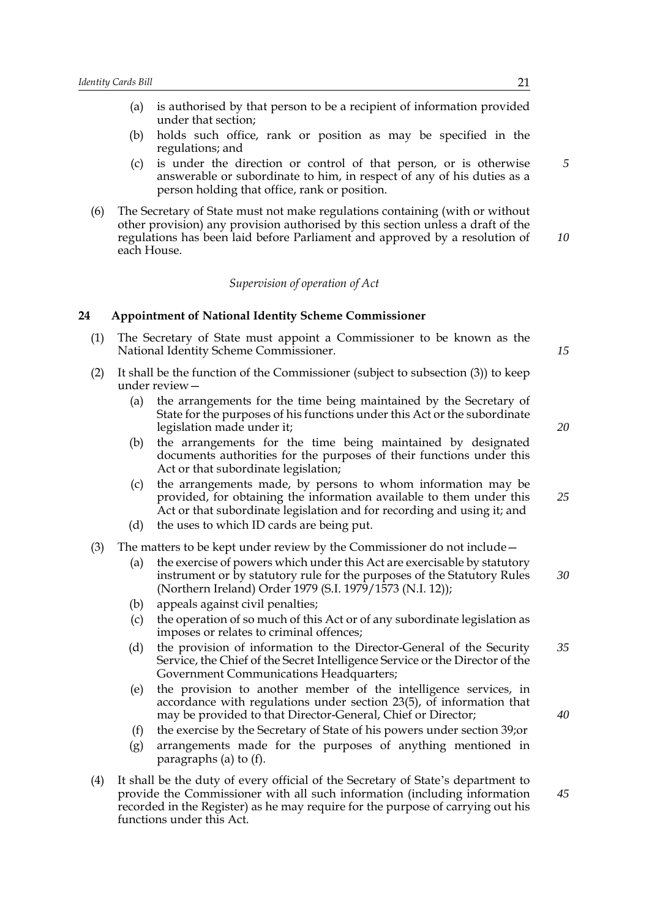- (a) is authorised by that person to be a recipient of information provided under that section;
- (b) holds such office, rank or position as may be specified in the regulations; and
- (c) is under the direction or control of that person, or is otherwise answerable or subordinate to him, in respect of any of his duties as a person holding that office, rank or position.
- (6) The Secretary of State must not make regulations containing (with or without other provision) any provision authorised by this section unless a draft of the regulations has been laid before Parliament and approved by a resolution of each House. *10*

#### *Supervision of operation of Act*

#### **24 Appointment of National Identity Scheme Commissioner**

- (1) The Secretary of State must appoint a Commissioner to be known as the National Identity Scheme Commissioner.
- (2) It shall be the function of the Commissioner (subject to subsection (3)) to keep under review—
	- (a) the arrangements for the time being maintained by the Secretary of State for the purposes of his functions under this Act or the subordinate legislation made under it;
	- (b) the arrangements for the time being maintained by designated documents authorities for the purposes of their functions under this Act or that subordinate legislation;
	- (c) the arrangements made, by persons to whom information may be provided, for obtaining the information available to them under this Act or that subordinate legislation and for recording and using it; and
	- (d) the uses to which ID cards are being put.
- (3) The matters to be kept under review by the Commissioner do not include—
	- (a) the exercise of powers which under this Act are exercisable by statutory instrument or by statutory rule for the purposes of the Statutory Rules (Northern Ireland) Order 1979 (S.I. 1979/1573 (N.I. 12)); *30*
	- (b) appeals against civil penalties;
	- (c) the operation of so much of this Act or of any subordinate legislation as imposes or relates to criminal offences;
	- (d) the provision of information to the Director-General of the Security Service, the Chief of the Secret Intelligence Service or the Director of the Government Communications Headquarters;
	- (e) the provision to another member of the intelligence services, in accordance with regulations under section 23(5), of information that may be provided to that Director-General, Chief or Director;
	- (f) the exercise by the Secretary of State of his powers under section 39;or
	- (g) arrangements made for the purposes of anything mentioned in paragraphs (a) to (f).
- (4) It shall be the duty of every official of the Secretary of State's department to provide the Commissioner with all such information (including information recorded in the Register) as he may require for the purpose of carrying out his functions under this Act.

*5*

*15*

*20*

*25*

*35*

*40*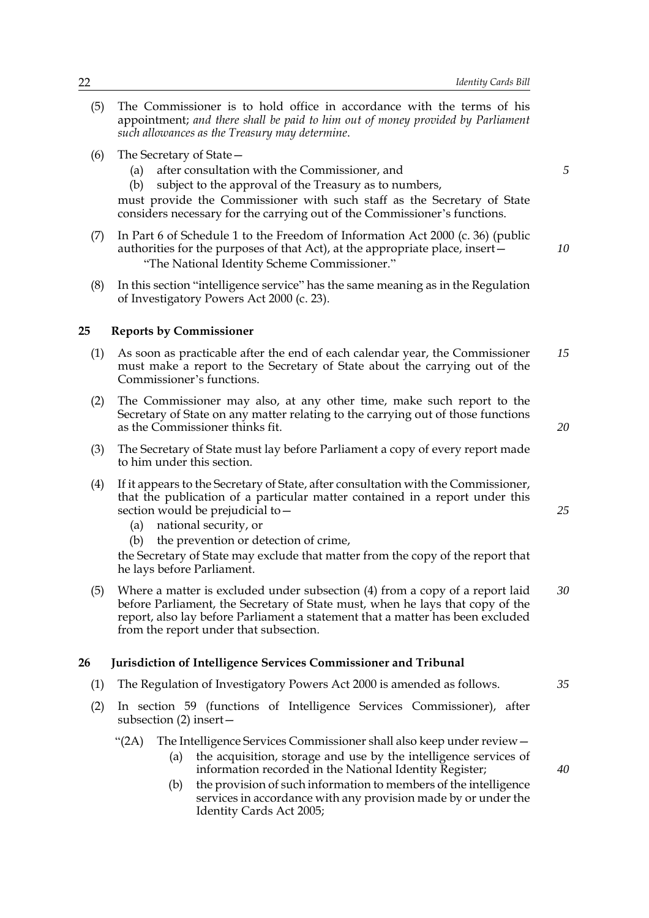- (5) The Commissioner is to hold office in accordance with the terms of his appointment; *and there shall be paid to him out of money provided by Parliament such allowances as the Treasury may determine*.
- (6) The Secretary of State—
	- (a) after consultation with the Commissioner, and
	- (b) subject to the approval of the Treasury as to numbers,

must provide the Commissioner with such staff as the Secretary of State considers necessary for the carrying out of the Commissioner's functions.

- (7) In Part 6 of Schedule 1 to the Freedom of Information Act 2000 (c. 36) (public authorities for the purposes of that Act), at the appropriate place, insert— "The National Identity Scheme Commissioner."
- (8) In this section "intelligence service" has the same meaning as in the Regulation of Investigatory Powers Act 2000 (c. 23).

#### **25 Reports by Commissioner**

- (1) As soon as practicable after the end of each calendar year, the Commissioner must make a report to the Secretary of State about the carrying out of the Commissioner's functions. *15*
- (2) The Commissioner may also, at any other time, make such report to the Secretary of State on any matter relating to the carrying out of those functions as the Commissioner thinks fit.
- (3) The Secretary of State must lay before Parliament a copy of every report made to him under this section.
- (4) If it appears to the Secretary of State, after consultation with the Commissioner, that the publication of a particular matter contained in a report under this section would be prejudicial to—
	- (a) national security, or
	- (b) the prevention or detection of crime,

the Secretary of State may exclude that matter from the copy of the report that he lays before Parliament.

(5) Where a matter is excluded under subsection (4) from a copy of a report laid before Parliament, the Secretary of State must, when he lays that copy of the report, also lay before Parliament a statement that a matter has been excluded from the report under that subsection. *30*

#### **26 Jurisdiction of Intelligence Services Commissioner and Tribunal**

- (1) The Regulation of Investigatory Powers Act 2000 is amended as follows.
- (2) In section 59 (functions of Intelligence Services Commissioner), after subsection (2) insert—
	- "(2A) The Intelligence Services Commissioner shall also keep under review—
		- (a) the acquisition, storage and use by the intelligence services of information recorded in the National Identity Register;
		- (b) the provision of such information to members of the intelligence services in accordance with any provision made by or under the Identity Cards Act 2005;

*5*

*10*

*20*

*25*

*35*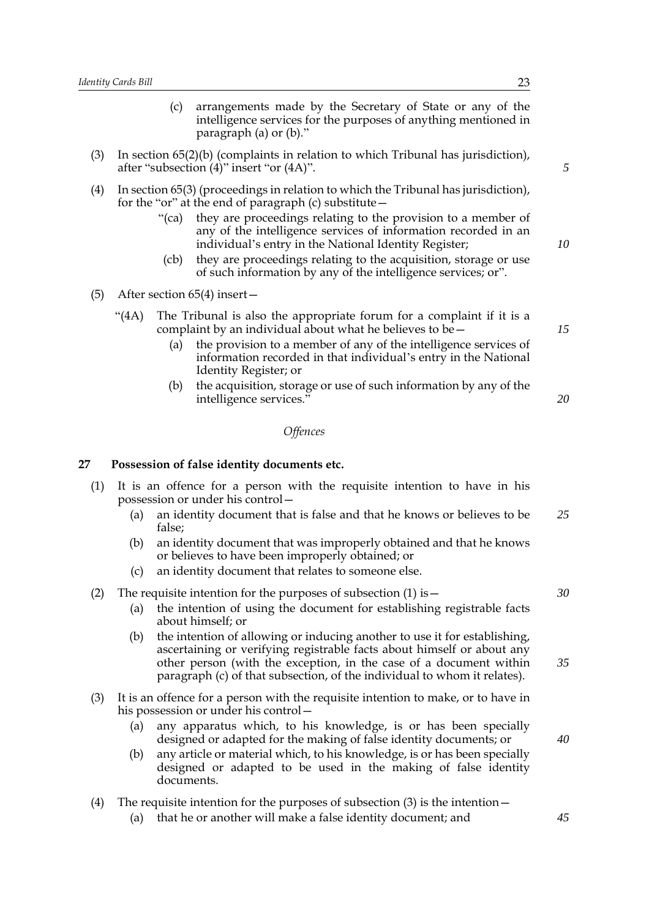- (c) arrangements made by the Secretary of State or any of the intelligence services for the purposes of anything mentioned in paragraph (a) or (b)."
- (3) In section 65(2)(b) (complaints in relation to which Tribunal has jurisdiction), after "subsection (4)" insert "or (4A)".
- (4) In section 65(3) (proceedings in relation to which the Tribunal has jurisdiction), for the "or" at the end of paragraph  $(c)$  substitute  $-$ 
	- "(ca) they are proceedings relating to the provision to a member of any of the intelligence services of information recorded in an individual's entry in the National Identity Register;
	- (cb) they are proceedings relating to the acquisition, storage or use of such information by any of the intelligence services; or".

(5) After section 65(4) insert—

- "(4A) The Tribunal is also the appropriate forum for a complaint if it is a complaint by an individual about what he believes to be—
	- (a) the provision to a member of any of the intelligence services of information recorded in that individual's entry in the National Identity Register; or
	- (b) the acquisition, storage or use of such information by any of the intelligence services.'

#### *Offences*

#### **27 Possession of false identity documents etc.**

- (1) It is an offence for a person with the requisite intention to have in his possession or under his control—
	- (a) an identity document that is false and that he knows or believes to be false; *25*
	- (b) an identity document that was improperly obtained and that he knows or believes to have been improperly obtained; or
	- (c) an identity document that relates to someone else.
- (2) The requisite intention for the purposes of subsection  $(1)$  is  $-$ 
	- (a) the intention of using the document for establishing registrable facts about himself; or
	- (b) the intention of allowing or inducing another to use it for establishing, ascertaining or verifying registrable facts about himself or about any other person (with the exception, in the case of a document within paragraph (c) of that subsection, of the individual to whom it relates).
- (3) It is an offence for a person with the requisite intention to make, or to have in his possession or under his control—
	- (a) any apparatus which, to his knowledge, is or has been specially designed or adapted for the making of false identity documents; or
	- (b) any article or material which, to his knowledge, is or has been specially designed or adapted to be used in the making of false identity documents.
- (4) The requisite intention for the purposes of subsection (3) is the intention—
	- (a) that he or another will make a false identity document; and

*40*

*35*

*10*

*15*

*20*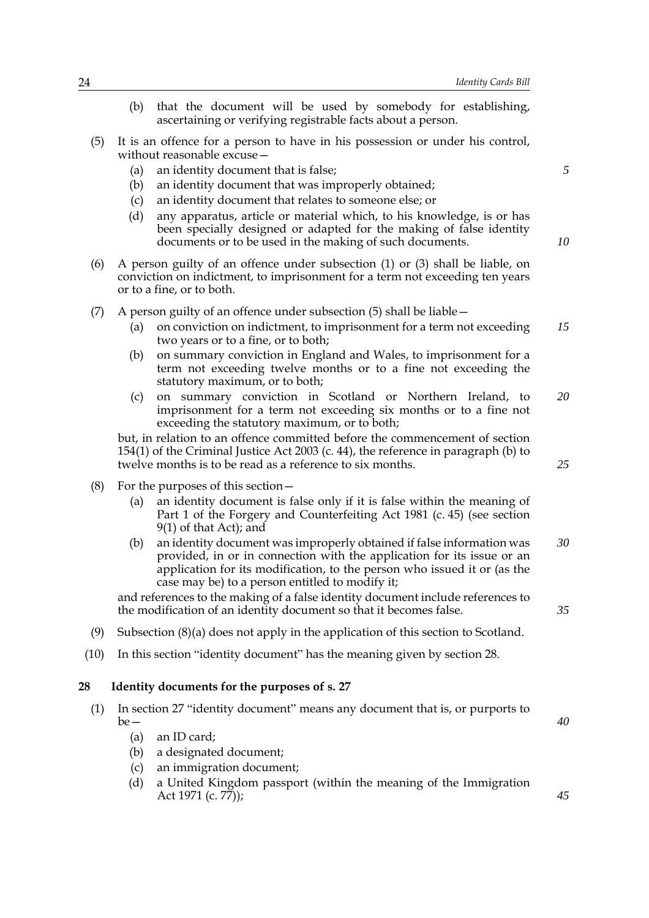- (b) that the document will be used by somebody for establishing, ascertaining or verifying registrable facts about a person.
- (5) It is an offence for a person to have in his possession or under his control, without reasonable excuse—
	- (a) an identity document that is false;
	- (b) an identity document that was improperly obtained;
	- (c) an identity document that relates to someone else; or
	- (d) any apparatus, article or material which, to his knowledge, is or has been specially designed or adapted for the making of false identity documents or to be used in the making of such documents.
- (6) A person guilty of an offence under subsection (1) or (3) shall be liable, on conviction on indictment, to imprisonment for a term not exceeding ten years or to a fine, or to both.
- (7) A person guilty of an offence under subsection (5) shall be liable—
	- (a) on conviction on indictment, to imprisonment for a term not exceeding two years or to a fine, or to both; *15*
	- (b) on summary conviction in England and Wales, to imprisonment for a term not exceeding twelve months or to a fine not exceeding the statutory maximum, or to both;
	- (c) on summary conviction in Scotland or Northern Ireland, to imprisonment for a term not exceeding six months or to a fine not exceeding the statutory maximum, or to both; *20*

but, in relation to an offence committed before the commencement of section 154(1) of the Criminal Justice Act 2003 (c. 44), the reference in paragraph (b) to twelve months is to be read as a reference to six months.

- (8) For the purposes of this section—
	- (a) an identity document is false only if it is false within the meaning of Part 1 of the Forgery and Counterfeiting Act 1981 (c. 45) (see section 9(1) of that Act); and
	- (b) an identity document was improperly obtained if false information was provided, in or in connection with the application for its issue or an application for its modification, to the person who issued it or (as the case may be) to a person entitled to modify it; *30*

and references to the making of a false identity document include references to the modification of an identity document so that it becomes false.

- (9) Subsection (8)(a) does not apply in the application of this section to Scotland.
- (10) In this section "identity document" has the meaning given by section 28.

#### **28 Identity documents for the purposes of s. 27**

- (1) In section 27 "identity document" means any document that is, or purports to be— (a) an ID card; *40*
	-
	- (b) a designated document;
	- (c) an immigration document;
	- (d) a United Kingdom passport (within the meaning of the Immigration Act 1971 (c.  $77$ ));

*5*

*10*

*25*

*35*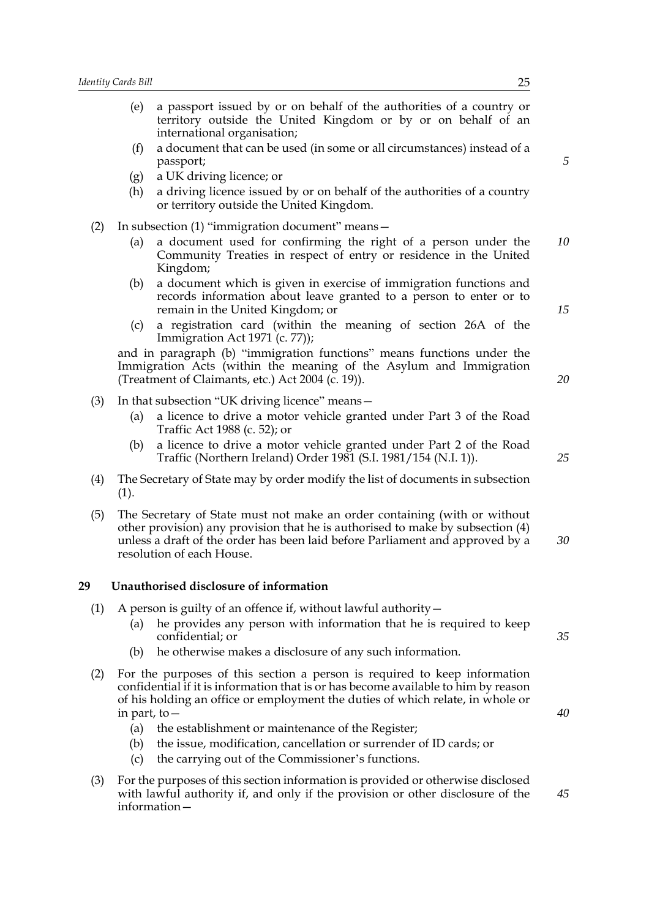|     | (e)                                                                                                                                                                                                                                                                       | a passport issued by or on behalf of the authorities of a country or<br>territory outside the United Kingdom or by or on behalf of an<br>international organisation;                                                                              |    |
|-----|---------------------------------------------------------------------------------------------------------------------------------------------------------------------------------------------------------------------------------------------------------------------------|---------------------------------------------------------------------------------------------------------------------------------------------------------------------------------------------------------------------------------------------------|----|
|     | (f)                                                                                                                                                                                                                                                                       | a document that can be used (in some or all circumstances) instead of a<br>passport;                                                                                                                                                              | 5  |
|     | (g)<br>(h)                                                                                                                                                                                                                                                                | a UK driving licence; or<br>a driving licence issued by or on behalf of the authorities of a country<br>or territory outside the United Kingdom.                                                                                                  |    |
| (2) |                                                                                                                                                                                                                                                                           | In subsection (1) "immigration document" means -                                                                                                                                                                                                  |    |
|     | (a)                                                                                                                                                                                                                                                                       | a document used for confirming the right of a person under the<br>Community Treaties in respect of entry or residence in the United<br>Kingdom;                                                                                                   | 10 |
|     | (b)                                                                                                                                                                                                                                                                       | a document which is given in exercise of immigration functions and<br>records information about leave granted to a person to enter or to<br>remain in the United Kingdom; or                                                                      | 15 |
|     | (c)                                                                                                                                                                                                                                                                       | a registration card (within the meaning of section 26A of the<br>Immigration Act 1971 (c. 77));                                                                                                                                                   |    |
|     |                                                                                                                                                                                                                                                                           | and in paragraph (b) "immigration functions" means functions under the<br>Immigration Acts (within the meaning of the Asylum and Immigration<br>(Treatment of Claimants, etc.) Act 2004 (c. 19)).                                                 | 20 |
| (3) |                                                                                                                                                                                                                                                                           | In that subsection "UK driving licence" means -                                                                                                                                                                                                   |    |
|     | (a)                                                                                                                                                                                                                                                                       | a licence to drive a motor vehicle granted under Part 3 of the Road<br>Traffic Act 1988 (c. 52); or                                                                                                                                               |    |
|     | (b)                                                                                                                                                                                                                                                                       | a licence to drive a motor vehicle granted under Part 2 of the Road<br>Traffic (Northern Ireland) Order 1981 (S.I. 1981/154 (N.I. 1)).                                                                                                            | 25 |
| (4) | The Secretary of State may by order modify the list of documents in subsection<br>(1).                                                                                                                                                                                    |                                                                                                                                                                                                                                                   |    |
| (5) | The Secretary of State must not make an order containing (with or without<br>other provision) any provision that he is authorised to make by subsection (4)<br>unless a draft of the order has been laid before Parliament and approved by a<br>resolution of each House. |                                                                                                                                                                                                                                                   | 30 |
| 29  |                                                                                                                                                                                                                                                                           | Unauthorised disclosure of information                                                                                                                                                                                                            |    |
| (1) |                                                                                                                                                                                                                                                                           | A person is guilty of an offence if, without lawful authority -                                                                                                                                                                                   |    |
|     | (a)                                                                                                                                                                                                                                                                       | he provides any person with information that he is required to keep<br>confidential; or                                                                                                                                                           | 35 |
|     | (b)                                                                                                                                                                                                                                                                       | he otherwise makes a disclosure of any such information.                                                                                                                                                                                          |    |
| (2) | in part, to $-$                                                                                                                                                                                                                                                           | For the purposes of this section a person is required to keep information<br>confidential if it is information that is or has become available to him by reason<br>of his holding an office or employment the duties of which relate, in whole or | 40 |

- (a) the establishment or maintenance of the Register;
- (b) the issue, modification, cancellation or surrender of ID cards; or
- (c) the carrying out of the Commissioner's functions.
- (3) For the purposes of this section information is provided or otherwise disclosed with lawful authority if, and only if the provision or other disclosure of the information— *45*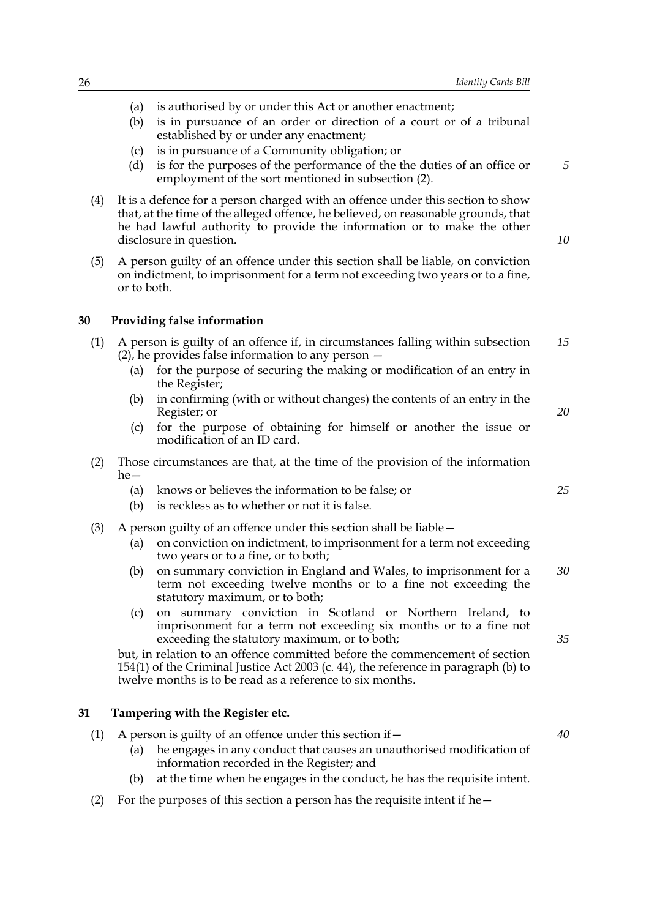- (a) is authorised by or under this Act or another enactment;
- (b) is in pursuance of an order or direction of a court or of a tribunal established by or under any enactment;
- (c) is in pursuance of a Community obligation; or
- (d) is for the purposes of the performance of the the duties of an office or employment of the sort mentioned in subsection (2).
- (4) It is a defence for a person charged with an offence under this section to show that, at the time of the alleged offence, he believed, on reasonable grounds, that he had lawful authority to provide the information or to make the other disclosure in question.
- (5) A person guilty of an offence under this section shall be liable, on conviction on indictment, to imprisonment for a term not exceeding two years or to a fine, or to both.

#### **30 Providing false information**

- (1) A person is guilty of an offence if, in circumstances falling within subsection  $(2)$ , he provides false information to any person  $-$ *15*
	- (a) for the purpose of securing the making or modification of an entry in the Register;
	- (b) in confirming (with or without changes) the contents of an entry in the Register; or
	- (c) for the purpose of obtaining for himself or another the issue or modification of an ID card.
- (2) Those circumstances are that, at the time of the provision of the information he—
	- (a) knows or believes the information to be false; or
	- (b) is reckless as to whether or not it is false.

#### (3) A person guilty of an offence under this section shall be liable—

- (a) on conviction on indictment, to imprisonment for a term not exceeding two years or to a fine, or to both;
- (b) on summary conviction in England and Wales, to imprisonment for a term not exceeding twelve months or to a fine not exceeding the statutory maximum, or to both; *30*
- (c) on summary conviction in Scotland or Northern Ireland, to imprisonment for a term not exceeding six months or to a fine not exceeding the statutory maximum, or to both;

but, in relation to an offence committed before the commencement of section 154(1) of the Criminal Justice Act 2003 (c. 44), the reference in paragraph (b) to twelve months is to be read as a reference to six months.

#### **31 Tampering with the Register etc.**

- (1) A person is guilty of an offence under this section if  $-$ *40*
	- (a) he engages in any conduct that causes an unauthorised modification of information recorded in the Register; and
	- (b) at the time when he engages in the conduct, he has the requisite intent.
- (2) For the purposes of this section a person has the requisite intent if he  $-$

*25*

*20*

*5*

*10*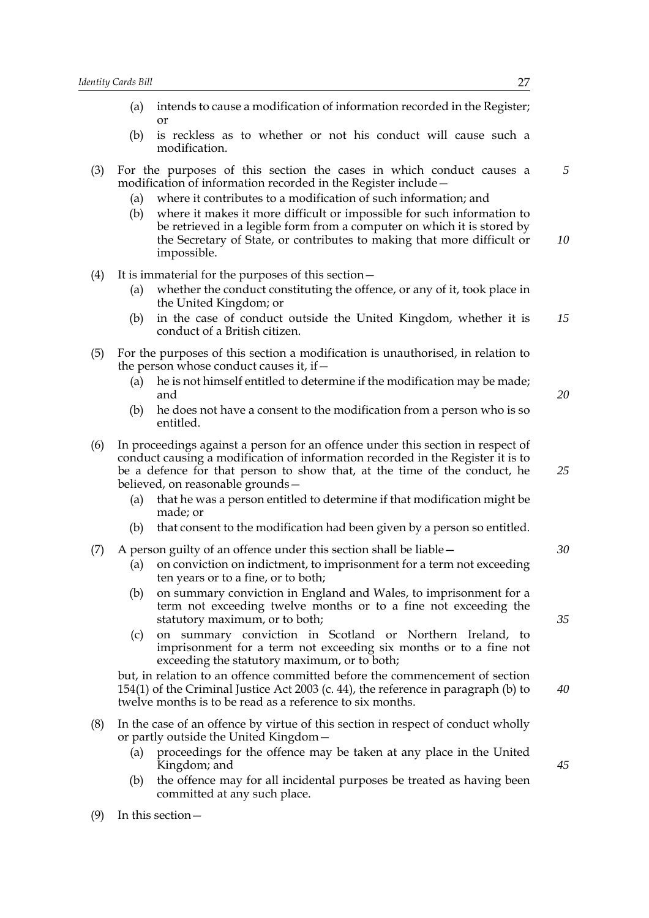- (a) intends to cause a modification of information recorded in the Register; or
- (b) is reckless as to whether or not his conduct will cause such a modification.
- (3) For the purposes of this section the cases in which conduct causes a modification of information recorded in the Register include—
	- (a) where it contributes to a modification of such information; and
	- (b) where it makes it more difficult or impossible for such information to be retrieved in a legible form from a computer on which it is stored by the Secretary of State, or contributes to making that more difficult or impossible. *10*
- (4) It is immaterial for the purposes of this section—
	- (a) whether the conduct constituting the offence, or any of it, took place in the United Kingdom; or
	- (b) in the case of conduct outside the United Kingdom, whether it is conduct of a British citizen. *15*
- (5) For the purposes of this section a modification is unauthorised, in relation to the person whose conduct causes it, if—
	- (a) he is not himself entitled to determine if the modification may be made; and
	- (b) he does not have a consent to the modification from a person who is so entitled.
- (6) In proceedings against a person for an offence under this section in respect of conduct causing a modification of information recorded in the Register it is to be a defence for that person to show that, at the time of the conduct, he believed, on reasonable grounds—
	- (a) that he was a person entitled to determine if that modification might be made; or
	- (b) that consent to the modification had been given by a person so entitled.
- (7) A person guilty of an offence under this section shall be liable—
	- (a) on conviction on indictment, to imprisonment for a term not exceeding ten years or to a fine, or to both;
	- (b) on summary conviction in England and Wales, to imprisonment for a term not exceeding twelve months or to a fine not exceeding the statutory maximum, or to both;
	- (c) on summary conviction in Scotland or Northern Ireland, to imprisonment for a term not exceeding six months or to a fine not exceeding the statutory maximum, or to both;

but, in relation to an offence committed before the commencement of section 154(1) of the Criminal Justice Act 2003 (c. 44), the reference in paragraph (b) to twelve months is to be read as a reference to six months.

- (8) In the case of an offence by virtue of this section in respect of conduct wholly or partly outside the United Kingdom—
	- (a) proceedings for the offence may be taken at any place in the United Kingdom; and
	- (b) the offence may for all incidental purposes be treated as having been committed at any such place.
- (9) In this section—

*5*

*30*

*35*

*40*

*20*

*25*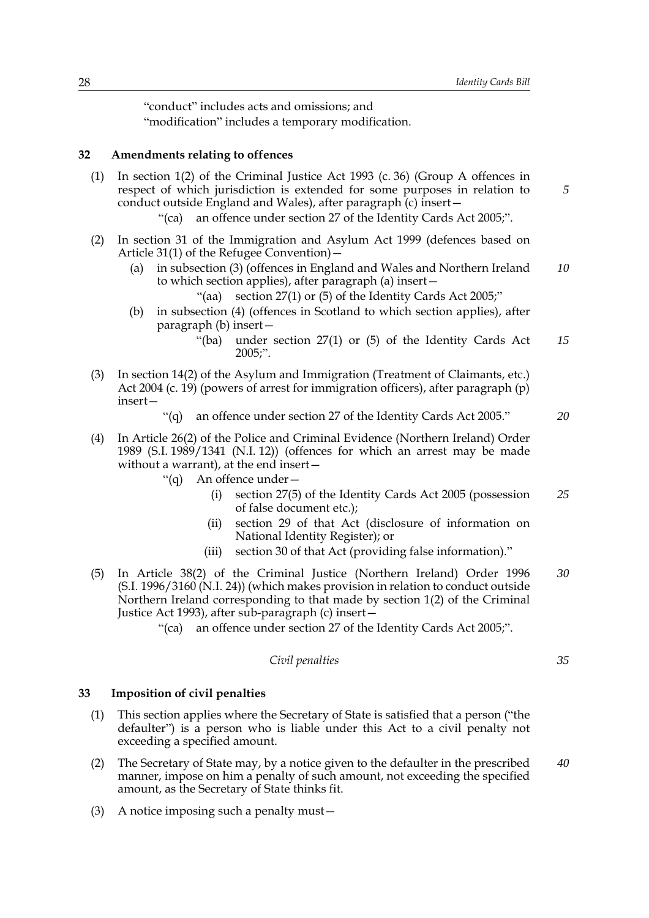"conduct" includes acts and omissions; and "modification" includes a temporary modification.

#### **32 Amendments relating to offences**

- (1) In section 1(2) of the Criminal Justice Act 1993 (c. 36) (Group A offences in respect of which jurisdiction is extended for some purposes in relation to conduct outside England and Wales), after paragraph (c) insert-"(ca) an offence under section 27 of the Identity Cards Act 2005;".
	-
- (2) In section 31 of the Immigration and Asylum Act 1999 (defences based on Article 31(1) of the Refugee Convention)—
	- (a) in subsection (3) (offences in England and Wales and Northern Ireland to which section applies), after paragraph (a) insert— *10*
		- "(aa) section 27(1) or (5) of the Identity Cards Act 2005;"
	- (b) in subsection (4) (offences in Scotland to which section applies), after paragraph (b) insert—
		- "(ba) under section 27(1) or (5) of the Identity Cards Act 2005;". *15*
- (3) In section 14(2) of the Asylum and Immigration (Treatment of Claimants, etc.) Act 2004 (c. 19) (powers of arrest for immigration officers), after paragraph (p) insert—

"(q) an offence under section 27 of the Identity Cards Act 2005."

*20*

*5*

(4) In Article 26(2) of the Police and Criminal Evidence (Northern Ireland) Order 1989 (S.I. 1989/1341 (N.I. 12)) (offences for which an arrest may be made without a warrant), at the end insert—

"(q) An offence under—

- section 27(5) of the Identity Cards Act 2005 (possession of false document etc.); *25*
- (ii) section 29 of that Act (disclosure of information on National Identity Register); or
- (iii) section 30 of that Act (providing false information)."
- (5) In Article 38(2) of the Criminal Justice (Northern Ireland) Order 1996 (S.I. 1996/3160 (N.I. 24)) (which makes provision in relation to conduct outside Northern Ireland corresponding to that made by section 1(2) of the Criminal Justice Act 1993), after sub-paragraph (c) insert— *30*
	- "(ca) an offence under section 27 of the Identity Cards Act 2005;".

*Civil penalties*

*35*

#### **33 Imposition of civil penalties**

- (1) This section applies where the Secretary of State is satisfied that a person ("the defaulter") is a person who is liable under this Act to a civil penalty not exceeding a specified amount.
- (2) The Secretary of State may, by a notice given to the defaulter in the prescribed manner, impose on him a penalty of such amount, not exceeding the specified amount, as the Secretary of State thinks fit. *40*
- (3) A notice imposing such a penalty must—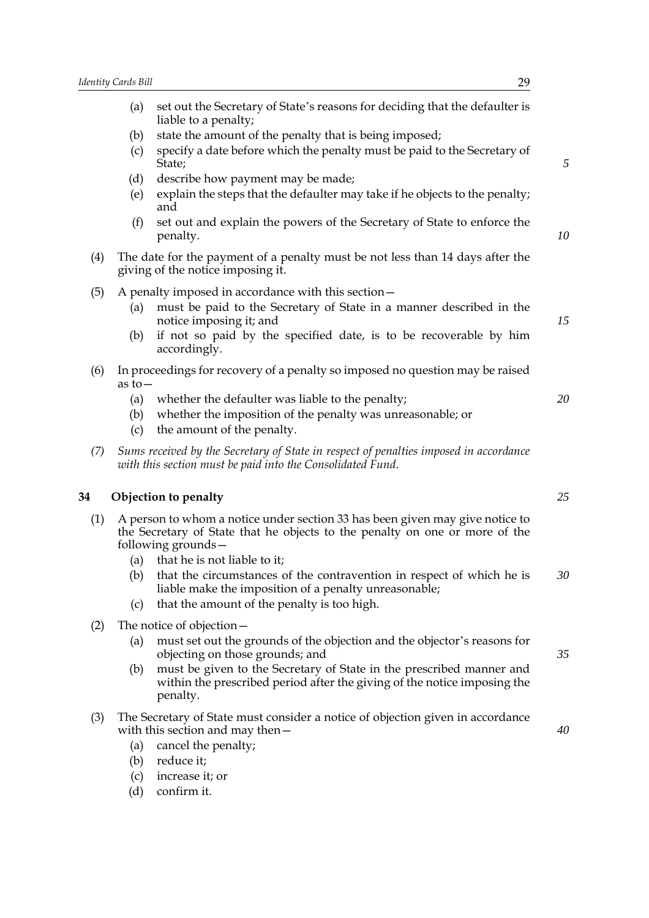|     | (a)                            | set out the Secretary of State's reasons for deciding that the defaulter is<br>liable to a penalty;                                                                                                                                        |    |
|-----|--------------------------------|--------------------------------------------------------------------------------------------------------------------------------------------------------------------------------------------------------------------------------------------|----|
|     | (b)<br>(c)                     | state the amount of the penalty that is being imposed;<br>specify a date before which the penalty must be paid to the Secretary of<br>State;                                                                                               | 5  |
|     | (d)<br>(e)                     | describe how payment may be made;<br>explain the steps that the defaulter may take if he objects to the penalty;<br>and                                                                                                                    |    |
|     | (f)                            | set out and explain the powers of the Secretary of State to enforce the<br>penalty.                                                                                                                                                        | 10 |
| (4) |                                | The date for the payment of a penalty must be not less than 14 days after the<br>giving of the notice imposing it.                                                                                                                         |    |
| (5) | (a)<br>(b)                     | A penalty imposed in accordance with this section -<br>must be paid to the Secretary of State in a manner described in the<br>notice imposing it; and<br>if not so paid by the specified date, is to be recoverable by him<br>accordingly. | 15 |
| (6) | as to $-$<br>(a)<br>(b)<br>(c) | In proceedings for recovery of a penalty so imposed no question may be raised<br>whether the defaulter was liable to the penalty;<br>whether the imposition of the penalty was unreasonable; or<br>the amount of the penalty.              | 20 |
| (7) |                                | Sums received by the Secretary of State in respect of penalties imposed in accordance<br>with this section must be paid into the Consolidated Fund.                                                                                        |    |
| 34  |                                | Objection to penalty                                                                                                                                                                                                                       | 25 |
| (1) | (a)                            | A person to whom a notice under section 33 has been given may give notice to<br>the Secretary of State that he objects to the penalty on one or more of the<br>following grounds-<br>that he is not liable to it;                          |    |
|     | (b)                            | that the circumstances of the contravention in respect of which he is<br>liable make the imposition of a penalty unreasonable;                                                                                                             | 30 |
|     | (c)                            | that the amount of the penalty is too high.<br>The notice of objection-                                                                                                                                                                    |    |
| (2) | (a)                            | must set out the grounds of the objection and the objector's reasons for<br>objecting on those grounds; and                                                                                                                                | 35 |
|     | (b)                            | must be given to the Secretary of State in the prescribed manner and<br>within the prescribed period after the giving of the notice imposing the<br>penalty.                                                                               |    |
| (3) |                                | The Secretary of State must consider a notice of objection given in accordance<br>with this section and may then $-$                                                                                                                       | 40 |
|     | (a)<br>(b)                     | cancel the penalty;<br>reduce it;                                                                                                                                                                                                          |    |

- (c) increase it; or
- $(d)$  confirm it.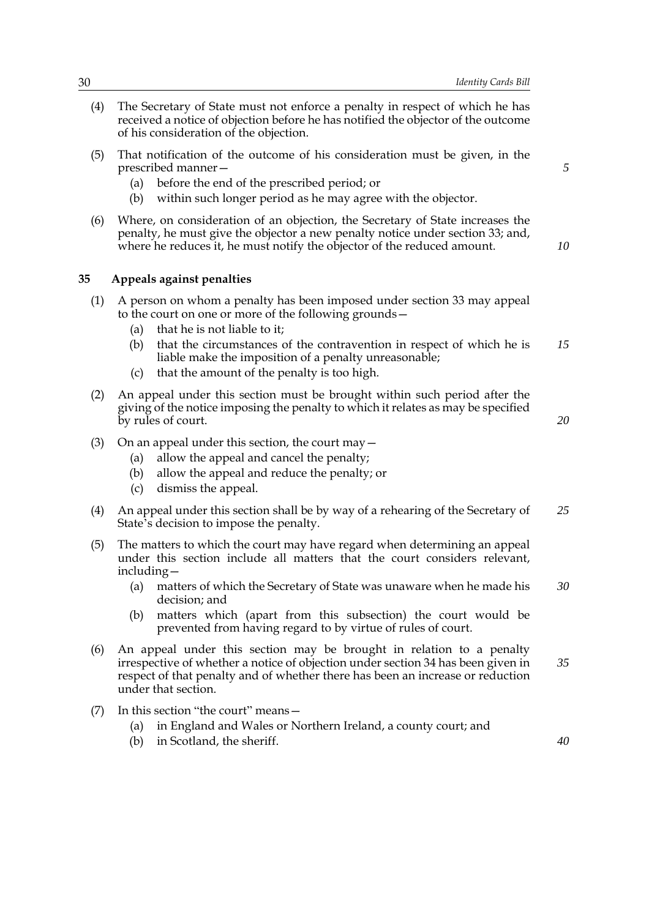*5*

*10*

*20*

- (4) The Secretary of State must not enforce a penalty in respect of which he has received a notice of objection before he has notified the objector of the outcome of his consideration of the objection.
- (5) That notification of the outcome of his consideration must be given, in the prescribed manner—
	- (a) before the end of the prescribed period; or
	- (b) within such longer period as he may agree with the objector.
- (6) Where, on consideration of an objection, the Secretary of State increases the penalty, he must give the objector a new penalty notice under section 33; and, where he reduces it, he must notify the objector of the reduced amount.

#### **35 Appeals against penalties**

- (1) A person on whom a penalty has been imposed under section 33 may appeal to the court on one or more of the following grounds—
	- (a) that he is not liable to it;
	- (b) that the circumstances of the contravention in respect of which he is liable make the imposition of a penalty unreasonable; *15*
	- (c) that the amount of the penalty is too high.
- (2) An appeal under this section must be brought within such period after the giving of the notice imposing the penalty to which it relates as may be specified by rules of court.
- (3) On an appeal under this section, the court may  $-$ 
	- (a) allow the appeal and cancel the penalty;
	- (b) allow the appeal and reduce the penalty; or
	- (c) dismiss the appeal.
- (4) An appeal under this section shall be by way of a rehearing of the Secretary of State's decision to impose the penalty. *25*
- (5) The matters to which the court may have regard when determining an appeal under this section include all matters that the court considers relevant, including—
	- (a) matters of which the Secretary of State was unaware when he made his decision; and *30*
	- (b) matters which (apart from this subsection) the court would be prevented from having regard to by virtue of rules of court.
- (6) An appeal under this section may be brought in relation to a penalty irrespective of whether a notice of objection under section 34 has been given in respect of that penalty and of whether there has been an increase or reduction under that section. *35*
- (7) In this section "the court" means—
	- (a) in England and Wales or Northern Ireland, a county court; and
	- (b) in Scotland, the sheriff.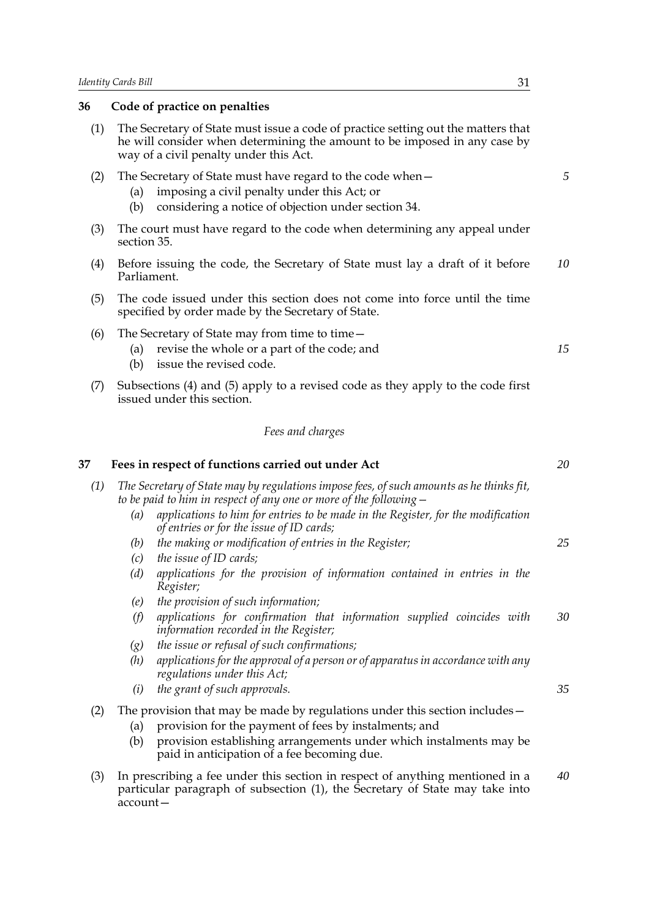#### **36 Code of practice on penalties**

- (1) The Secretary of State must issue a code of practice setting out the matters that he will consider when determining the amount to be imposed in any case by way of a civil penalty under this Act.
- (2) The Secretary of State must have regard to the code when—
	- (a) imposing a civil penalty under this Act; or
	- (b) considering a notice of objection under section 34.
- (3) The court must have regard to the code when determining any appeal under section 35.
- (4) Before issuing the code, the Secretary of State must lay a draft of it before Parliament. *10*
- (5) The code issued under this section does not come into force until the time specified by order made by the Secretary of State.
- (6) The Secretary of State may from time to time—
	- (a) revise the whole or a part of the code; and
	- (b) issue the revised code.
- (7) Subsections (4) and (5) apply to a revised code as they apply to the code first issued under this section.

#### *Fees and charges*

#### **37 Fees in respect of functions carried out under Act**

- *(1) The Secretary of State may by regulations impose fees, of such amounts as he thinks fit, to be paid to him in respect of any one or more of the following—*
	- *(a) applications to him for entries to be made in the Register, for the modification of entries or for the issue of ID cards;*
	- *(b) the making or modification of entries in the Register;*
	- *(c) the issue of ID cards;*
	- *(d) applications for the provision of information contained in entries in the Register;*
	- *(e) the provision of such information;*
	- *(f) applications for confirmation that information supplied coincides with information recorded in the Register; 30*
	- *(g) the issue or refusal of such confirmations;*
	- *(h) applications for the approval of a person or of apparatus in accordance with any regulations under this Act;*
	- *(i) the grant of such approvals.*
- (2) The provision that may be made by regulations under this section includes—
	- (a) provision for the payment of fees by instalments; and
	- (b) provision establishing arrangements under which instalments may be paid in anticipation of a fee becoming due.
- (3) In prescribing a fee under this section in respect of anything mentioned in a particular paragraph of subsection (1), the Secretary of State may take into account— *40*

*5*

*20*

*25*

*35*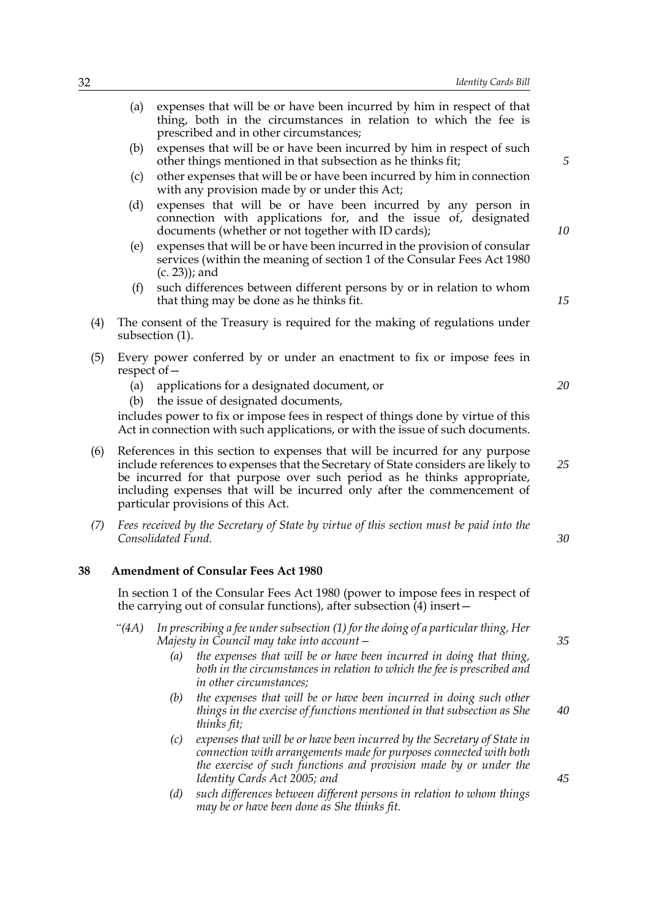- (a) expenses that will be or have been incurred by him in respect of that thing, both in the circumstances in relation to which the fee is prescribed and in other circumstances; (b) expenses that will be or have been incurred by him in respect of such other things mentioned in that subsection as he thinks fit; (c) other expenses that will be or have been incurred by him in connection with any provision made by or under this Act; (d) expenses that will be or have been incurred by any person in connection with applications for, and the issue of, designated documents (whether or not together with ID cards); (e) expenses that will be or have been incurred in the provision of consular services (within the meaning of section 1 of the Consular Fees Act 1980 (c. 23)); and (f) such differences between different persons by or in relation to whom that thing may be done as he thinks fit. (4) The consent of the Treasury is required for the making of regulations under subsection (1). (5) Every power conferred by or under an enactment to fix or impose fees in respect of— (a) applications for a designated document, or (b) the issue of designated documents, includes power to fix or impose fees in respect of things done by virtue of this Act in connection with such applications, or with the issue of such documents. *5 10 15 20*
- (6) References in this section to expenses that will be incurred for any purpose include references to expenses that the Secretary of State considers are likely to be incurred for that purpose over such period as he thinks appropriate, including expenses that will be incurred only after the commencement of particular provisions of this Act.
- *(7) Fees received by the Secretary of State by virtue of this section must be paid into the Consolidated Fund.*

#### **38 Amendment of Consular Fees Act 1980**

In section 1 of the Consular Fees Act 1980 (power to impose fees in respect of the carrying out of consular functions), after subsection (4) insert—

- *"(4A) In prescribing a fee under subsection (1) for the doing of a particular thing, Her Majesty in Council may take into account—*
	- *(a) the expenses that will be or have been incurred in doing that thing, both in the circumstances in relation to which the fee is prescribed and in other circumstances;*
	- *(b) the expenses that will be or have been incurred in doing such other things in the exercise of functions mentioned in that subsection as She thinks fit; 40*
	- *(c) expenses that will be or have been incurred by the Secretary of State in connection with arrangements made for purposes connected with both the exercise of such functions and provision made by or under the Identity Cards Act 2005; and*
	- *(d) such differences between different persons in relation to whom things may be or have been done as She thinks fit.*

*30*

*25*

*35*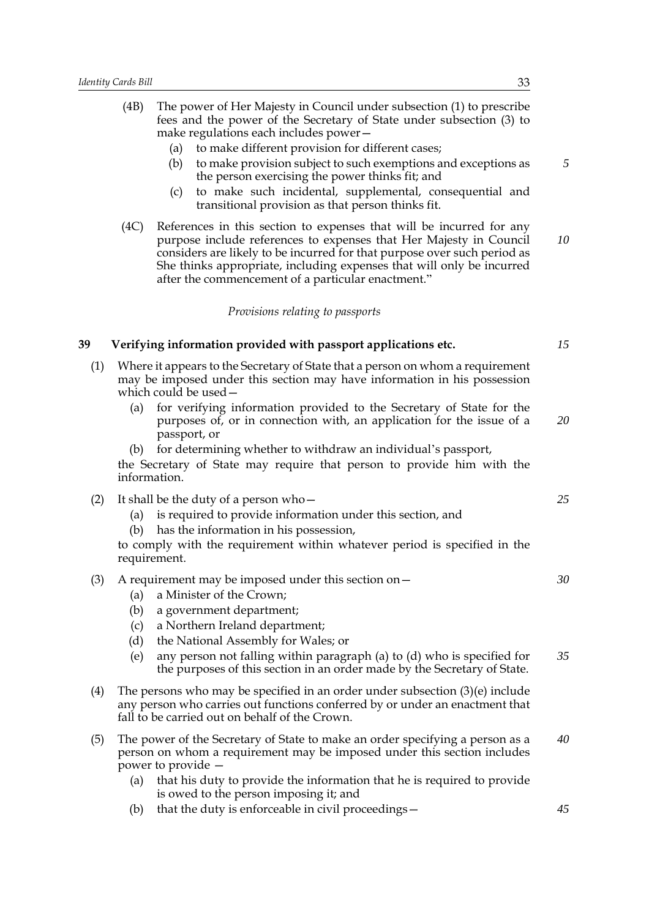- (4B) The power of Her Majesty in Council under subsection (1) to prescribe fees and the power of the Secretary of State under subsection (3) to make regulations each includes power—
	- (a) to make different provision for different cases;
	- (b) to make provision subject to such exemptions and exceptions as the person exercising the power thinks fit; and
	- (c) to make such incidental, supplemental, consequential and transitional provision as that person thinks fit.
- (4C) References in this section to expenses that will be incurred for any purpose include references to expenses that Her Majesty in Council considers are likely to be incurred for that purpose over such period as She thinks appropriate, including expenses that will only be incurred after the commencement of a particular enactment." *10*

#### *Provisions relating to passports*

#### **39 Verifying information provided with passport applications etc.**

- (1) Where it appears to the Secretary of State that a person on whom a requirement may be imposed under this section may have information in his possession which could be used—
	- (a) for verifying information provided to the Secretary of State for the purposes of, or in connection with, an application for the issue of a passport, or *20*
	- (b) for determining whether to withdraw an individual's passport,

the Secretary of State may require that person to provide him with the information.

- (2) It shall be the duty of a person who  $-$ 
	- (a) is required to provide information under this section, and
	- (b) has the information in his possession,

to comply with the requirement within whatever period is specified in the requirement.

#### (3) A requirement may be imposed under this section on  $-$

- (a) a Minister of the Crown;
- (b) a government department;
- (c) a Northern Ireland department;
- (d) the National Assembly for Wales; or
- (e) any person not falling within paragraph (a) to (d) who is specified for the purposes of this section in an order made by the Secretary of State. *35*
- (4) The persons who may be specified in an order under subsection (3)(e) include any person who carries out functions conferred by or under an enactment that fall to be carried out on behalf of the Crown.
- (5) The power of the Secretary of State to make an order specifying a person as a person on whom a requirement may be imposed under this section includes power to provide — *40*
	- (a) that his duty to provide the information that he is required to provide is owed to the person imposing it; and
	- (b) that the duty is enforceable in civil proceedings—

*5*

*25*

*15*

*30*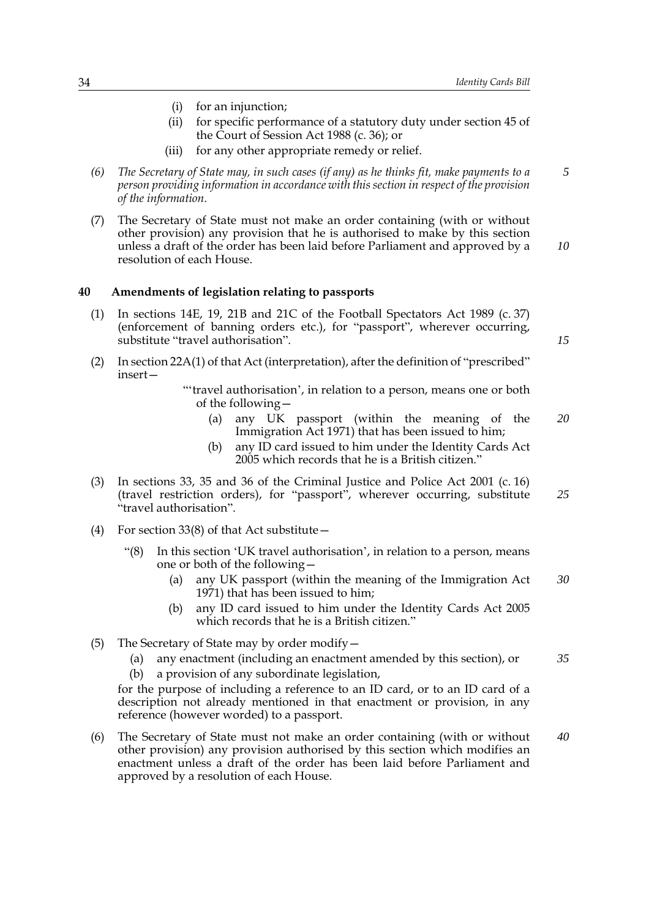- (i) for an injunction;
- (ii) for specific performance of a statutory duty under section 45 of the Court of Session Act 1988 (c. 36); or
- (iii) for any other appropriate remedy or relief.
- *(6) The Secretary of State may, in such cases (if any) as he thinks fit, make payments to a person providing information in accordance with this section in respect of the provision of the information.*
- (7) The Secretary of State must not make an order containing (with or without other provision) any provision that he is authorised to make by this section unless a draft of the order has been laid before Parliament and approved by a resolution of each House.

# **40 Amendments of legislation relating to passports**

- (1) In sections 14E, 19, 21B and 21C of the Football Spectators Act 1989 (c. 37) (enforcement of banning orders etc.), for "passport", wherever occurring, substitute "travel authorisation".
- (2) In section 22A(1) of that Act (interpretation), after the definition of "prescribed" insert—

"travel authorisation', in relation to a person, means one or both of the following—

- (a) any UK passport (within the meaning of the Immigration Act 1971) that has been issued to him; *20*
- (b) any ID card issued to him under the Identity Cards Act 2005 which records that he is a British citizen."
- (3) In sections 33, 35 and 36 of the Criminal Justice and Police Act 2001 (c. 16) (travel restriction orders), for "passport", wherever occurring, substitute "travel authorisation".
- (4) For section 33(8) of that Act substitute—
	- "(8) In this section 'UK travel authorisation', in relation to a person, means one or both of the following—
		- (a) any UK passport (within the meaning of the Immigration Act 1971) that has been issued to him; *30*
		- (b) any ID card issued to him under the Identity Cards Act 2005 which records that he is a British citizen."
- (5) The Secretary of State may by order modify—
	- (a) any enactment (including an enactment amended by this section), or *35*
	- (b) a provision of any subordinate legislation,

for the purpose of including a reference to an ID card, or to an ID card of a description not already mentioned in that enactment or provision, in any reference (however worded) to a passport.

(6) The Secretary of State must not make an order containing (with or without other provision) any provision authorised by this section which modifies an enactment unless a draft of the order has been laid before Parliament and approved by a resolution of each House. *40*

*15*

*5*

*10*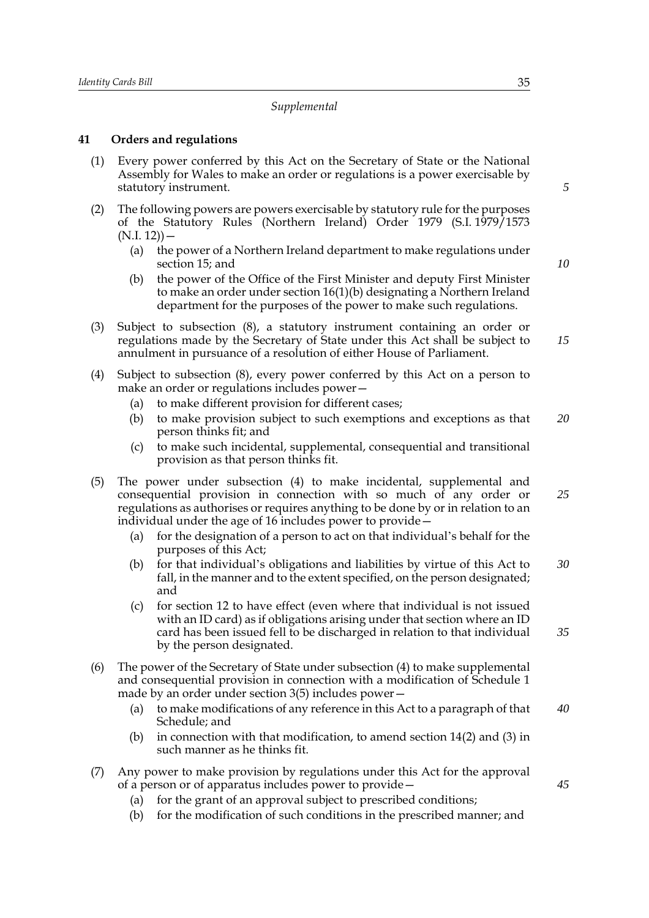#### *Supplemental*

#### **41 Orders and regulations**

- (1) Every power conferred by this Act on the Secretary of State or the National Assembly for Wales to make an order or regulations is a power exercisable by statutory instrument.
- (2) The following powers are powers exercisable by statutory rule for the purposes of the Statutory Rules (Northern Ireland) Order 1979 (S.I. 1979/1573  $(N.I. 12)$ ) —
	- (a) the power of a Northern Ireland department to make regulations under section 15; and
	- (b) the power of the Office of the First Minister and deputy First Minister to make an order under section 16(1)(b) designating a Northern Ireland department for the purposes of the power to make such regulations.
- (3) Subject to subsection (8), a statutory instrument containing an order or regulations made by the Secretary of State under this Act shall be subject to annulment in pursuance of a resolution of either House of Parliament.
- (4) Subject to subsection (8), every power conferred by this Act on a person to make an order or regulations includes power—
	- (a) to make different provision for different cases;
	- (b) to make provision subject to such exemptions and exceptions as that person thinks fit; and *20*
	- (c) to make such incidental, supplemental, consequential and transitional provision as that person thinks fit.
- (5) The power under subsection (4) to make incidental, supplemental and consequential provision in connection with so much of any order or regulations as authorises or requires anything to be done by or in relation to an individual under the age of 16 includes power to provide— *25*
	- (a) for the designation of a person to act on that individual's behalf for the purposes of this Act;
	- (b) for that individual's obligations and liabilities by virtue of this Act to fall, in the manner and to the extent specified, on the person designated; and *30*
	- (c) for section 12 to have effect (even where that individual is not issued with an ID card) as if obligations arising under that section where an ID card has been issued fell to be discharged in relation to that individual by the person designated. *35*
- (6) The power of the Secretary of State under subsection (4) to make supplemental and consequential provision in connection with a modification of Schedule 1 made by an order under section 3(5) includes power—
	- (a) to make modifications of any reference in this Act to a paragraph of that Schedule; and *40*
	- (b) in connection with that modification, to amend section 14(2) and (3) in such manner as he thinks fit.
- (7) Any power to make provision by regulations under this Act for the approval of a person or of apparatus includes power to provide—
	- (a) for the grant of an approval subject to prescribed conditions;
	- (b) for the modification of such conditions in the prescribed manner; and

*10*

*15*

*5*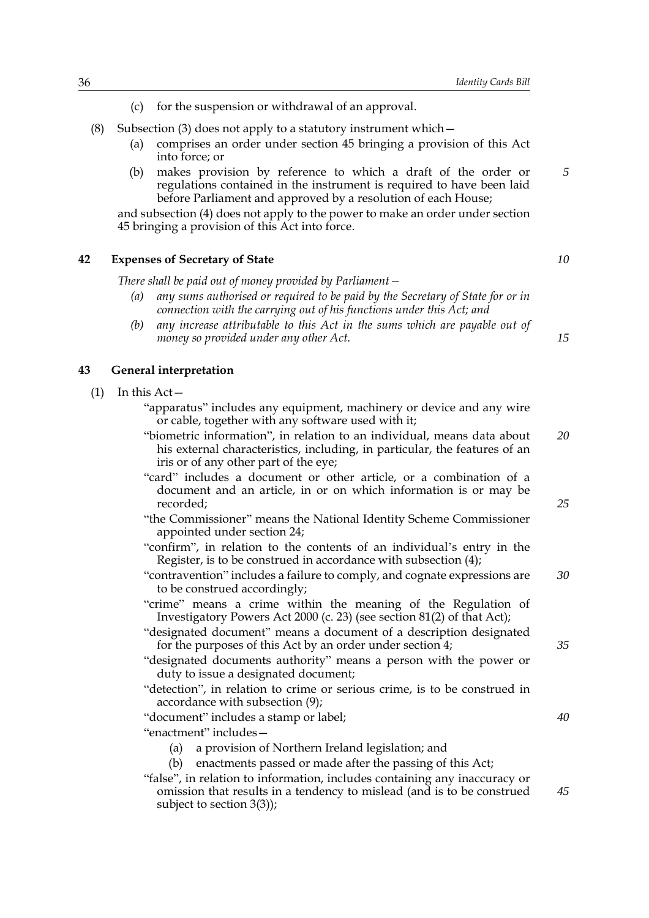- (c) for the suspension or withdrawal of an approval.
- (8) Subsection (3) does not apply to a statutory instrument which—
	- (a) comprises an order under section 45 bringing a provision of this Act into force; or
	- (b) makes provision by reference to which a draft of the order or regulations contained in the instrument is required to have been laid before Parliament and approved by a resolution of each House;

and subsection (4) does not apply to the power to make an order under section 45 bringing a provision of this Act into force.

#### **42 Expenses of Secretary of State**

*There shall be paid out of money provided by Parliament—*

- *(a) any sums authorised or required to be paid by the Secretary of State for or in connection with the carrying out of his functions under this Act; and*
- *(b) any increase attributable to this Act in the sums which are payable out of money so provided under any other Act.*

#### **43 General interpretation**

- (1) In this Act—
	- "apparatus" includes any equipment, machinery or device and any wire or cable, together with any software used with it;
	- "biometric information", in relation to an individual, means data about his external characteristics, including, in particular, the features of an iris or of any other part of the eye; *20*
	- "card" includes a document or other article, or a combination of a document and an article, in or on which information is or may be recorded;
	- "the Commissioner" means the National Identity Scheme Commissioner appointed under section 24;
	- "confirm", in relation to the contents of an individual's entry in the Register, is to be construed in accordance with subsection (4);
	- "contravention" includes a failure to comply, and cognate expressions are to be construed accordingly; *30*
	- "crime" means a crime within the meaning of the Regulation of Investigatory Powers Act 2000 (c. 23) (see section 81(2) of that Act);
	- "designated document" means a document of a description designated for the purposes of this Act by an order under section 4;
	- "designated documents authority" means a person with the power or duty to issue a designated document;
	- "detection", in relation to crime or serious crime, is to be construed in accordance with subsection (9);

"document" includes a stamp or label;

"enactment" includes—

- (a) a provision of Northern Ireland legislation; and
- (b) enactments passed or made after the passing of this Act;
- "false", in relation to information, includes containing any inaccuracy or omission that results in a tendency to mislead (and is to be construed subject to section 3(3));

*10*

*15*

*5*

*25*

*35*

*40*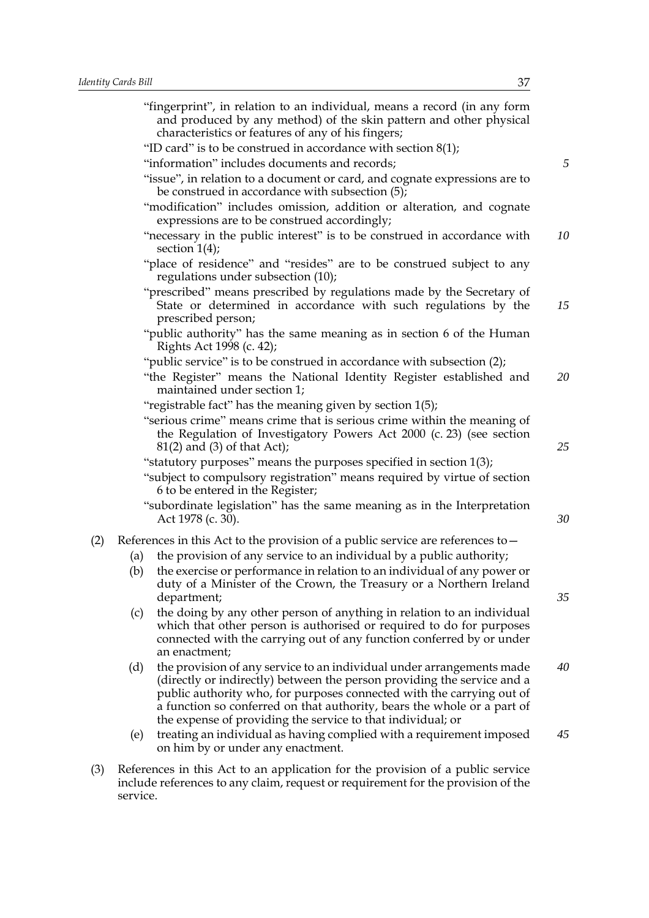|     |     | "fingerprint", in relation to an individual, means a record (in any form<br>and produced by any method) of the skin pattern and other physical<br>characteristics or features of any of his fingers;<br>"ID card" is to be construed in accordance with section 8(1);                                                                                               |    |
|-----|-----|---------------------------------------------------------------------------------------------------------------------------------------------------------------------------------------------------------------------------------------------------------------------------------------------------------------------------------------------------------------------|----|
|     |     | "information" includes documents and records;                                                                                                                                                                                                                                                                                                                       | 5  |
|     |     | "issue", in relation to a document or card, and cognate expressions are to<br>be construed in accordance with subsection (5);                                                                                                                                                                                                                                       |    |
|     |     | "modification" includes omission, addition or alteration, and cognate<br>expressions are to be construed accordingly;                                                                                                                                                                                                                                               |    |
|     |     | "necessary in the public interest" is to be construed in accordance with<br>section $1(4)$ ;                                                                                                                                                                                                                                                                        | 10 |
|     |     | "place of residence" and "resides" are to be construed subject to any<br>regulations under subsection (10);                                                                                                                                                                                                                                                         |    |
|     |     | "prescribed" means prescribed by regulations made by the Secretary of<br>State or determined in accordance with such regulations by the<br>prescribed person;                                                                                                                                                                                                       | 15 |
|     |     | "public authority" has the same meaning as in section 6 of the Human<br>Rights Act 1998 (c. 42);                                                                                                                                                                                                                                                                    |    |
|     |     | "public service" is to be construed in accordance with subsection (2);                                                                                                                                                                                                                                                                                              |    |
|     |     | "the Register" means the National Identity Register established and<br>maintained under section 1;                                                                                                                                                                                                                                                                  | 20 |
|     |     | "registrable fact" has the meaning given by section 1(5);                                                                                                                                                                                                                                                                                                           |    |
|     |     | "serious crime" means crime that is serious crime within the meaning of<br>the Regulation of Investigatory Powers Act 2000 (c. 23) (see section<br>$81(2)$ and $(3)$ of that Act);                                                                                                                                                                                  | 25 |
|     |     | "statutory purposes" means the purposes specified in section 1(3);                                                                                                                                                                                                                                                                                                  |    |
|     |     | "subject to compulsory registration" means required by virtue of section<br>6 to be entered in the Register;                                                                                                                                                                                                                                                        |    |
|     |     | "subordinate legislation" has the same meaning as in the Interpretation<br>Act 1978 (c. 30).                                                                                                                                                                                                                                                                        | 30 |
| (2) |     | References in this Act to the provision of a public service are references to $-$                                                                                                                                                                                                                                                                                   |    |
|     | (a) | the provision of any service to an individual by a public authority;                                                                                                                                                                                                                                                                                                |    |
|     | (b) | the exercise or performance in relation to an individual of any power or<br>duty of a Minister of the Crown, the Treasury or a Northern Ireland<br>department;                                                                                                                                                                                                      | 35 |
|     | (c) | the doing by any other person of anything in relation to an individual<br>which that other person is authorised or required to do for purposes<br>connected with the carrying out of any function conferred by or under<br>an enactment;                                                                                                                            |    |
|     | (d) | the provision of any service to an individual under arrangements made<br>(directly or indirectly) between the person providing the service and a<br>public authority who, for purposes connected with the carrying out of<br>a function so conferred on that authority, bears the whole or a part of<br>the expense of providing the service to that individual; or | 40 |
|     | (e) | treating an individual as having complied with a requirement imposed<br>on him by or under any enactment.                                                                                                                                                                                                                                                           | 45 |
| (3) |     | References in this $\Delta ct$ to an application for the provision of a public service                                                                                                                                                                                                                                                                              |    |

(3) References in this Act to an application for the provision of a public service include references to any claim, request or requirement for the provision of the service.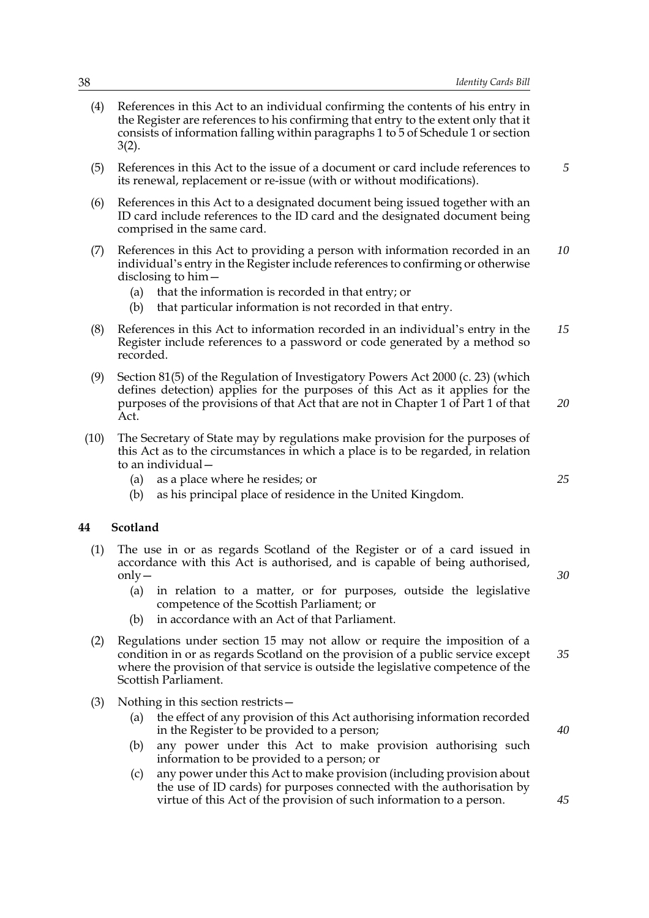- (4) References in this Act to an individual confirming the contents of his entry in the Register are references to his confirming that entry to the extent only that it consists of information falling within paragraphs 1 to 5 of Schedule 1 or section 3(2).
- (5) References in this Act to the issue of a document or card include references to its renewal, replacement or re-issue (with or without modifications). *5*
- (6) References in this Act to a designated document being issued together with an ID card include references to the ID card and the designated document being comprised in the same card.
- (7) References in this Act to providing a person with information recorded in an individual's entry in the Register include references to confirming or otherwise disclosing to him— *10*
	- (a) that the information is recorded in that entry; or
	- (b) that particular information is not recorded in that entry.
- (8) References in this Act to information recorded in an individual's entry in the Register include references to a password or code generated by a method so recorded. *15*
- (9) Section 81(5) of the Regulation of Investigatory Powers Act 2000 (c. 23) (which defines detection) applies for the purposes of this Act as it applies for the purposes of the provisions of that Act that are not in Chapter 1 of Part 1 of that Act. *20*
- (10) The Secretary of State may by regulations make provision for the purposes of this Act as to the circumstances in which a place is to be regarded, in relation to an individual—
	- (a) as a place where he resides; or
	- (b) as his principal place of residence in the United Kingdom.

#### **44 Scotland**

- (1) The use in or as regards Scotland of the Register or of a card issued in accordance with this Act is authorised, and is capable of being authorised, only—
	- (a) in relation to a matter, or for purposes, outside the legislative competence of the Scottish Parliament; or
	- (b) in accordance with an Act of that Parliament.
- (2) Regulations under section 15 may not allow or require the imposition of a condition in or as regards Scotland on the provision of a public service except where the provision of that service is outside the legislative competence of the Scottish Parliament. *35*
- (3) Nothing in this section restricts—
	- (a) the effect of any provision of this Act authorising information recorded in the Register to be provided to a person;
	- (b) any power under this Act to make provision authorising such information to be provided to a person; or
	- (c) any power under this Act to make provision (including provision about the use of ID cards) for purposes connected with the authorisation by virtue of this Act of the provision of such information to a person.

*25*

*45*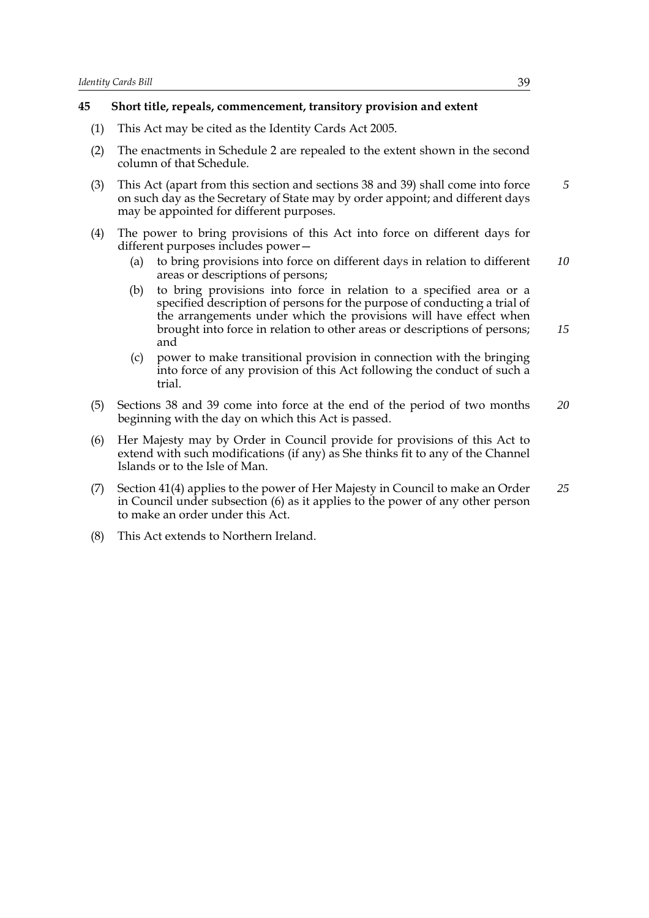#### **45 Short title, repeals, commencement, transitory provision and extent**

- (1) This Act may be cited as the Identity Cards Act 2005.
- (2) The enactments in Schedule 2 are repealed to the extent shown in the second column of that Schedule.
- (3) This Act (apart from this section and sections 38 and 39) shall come into force on such day as the Secretary of State may by order appoint; and different days may be appointed for different purposes. *5*
- (4) The power to bring provisions of this Act into force on different days for different purposes includes power—
	- (a) to bring provisions into force on different days in relation to different areas or descriptions of persons; *10*
	- (b) to bring provisions into force in relation to a specified area or a specified description of persons for the purpose of conducting a trial of the arrangements under which the provisions will have effect when brought into force in relation to other areas or descriptions of persons; and *15*
	- (c) power to make transitional provision in connection with the bringing into force of any provision of this Act following the conduct of such a trial.
- (5) Sections 38 and 39 come into force at the end of the period of two months beginning with the day on which this Act is passed. *20*
- (6) Her Majesty may by Order in Council provide for provisions of this Act to extend with such modifications (if any) as She thinks fit to any of the Channel Islands or to the Isle of Man.
- (7) Section 41(4) applies to the power of Her Majesty in Council to make an Order in Council under subsection (6) as it applies to the power of any other person to make an order under this Act. *25*
- (8) This Act extends to Northern Ireland.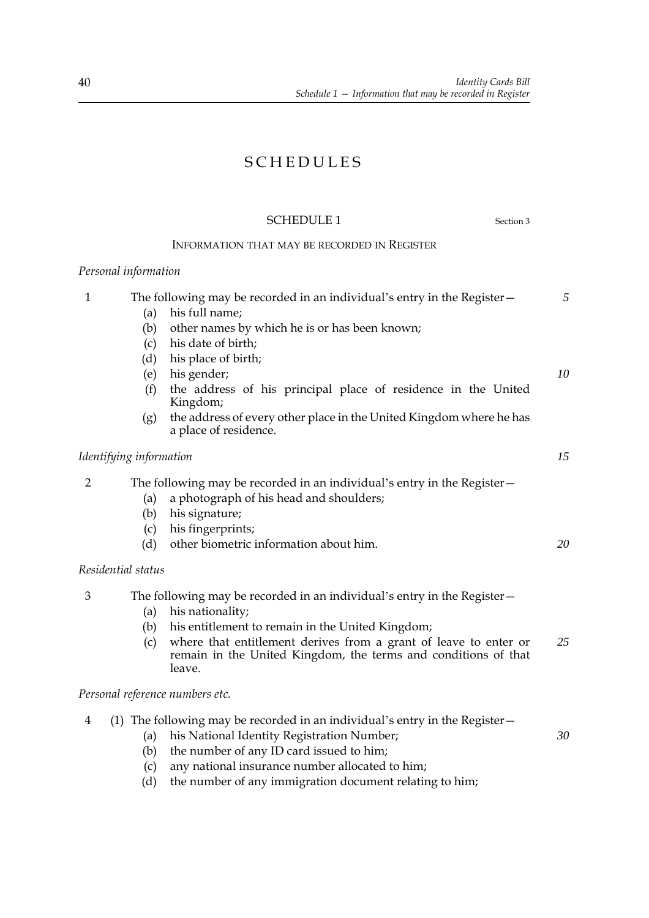# SCHEDULES

# SCHEDULE 1 Section 3

# INFORMATION THAT MAY BE RECORDED IN REGISTER

# *Personal information*

| $\mathbf{1}$   |                         | The following may be recorded in an individual's entry in the Register-                                                                      | 5  |
|----------------|-------------------------|----------------------------------------------------------------------------------------------------------------------------------------------|----|
|                | (a)                     | his full name;                                                                                                                               |    |
|                | (b)                     | other names by which he is or has been known;                                                                                                |    |
|                | (c)                     | his date of birth;                                                                                                                           |    |
|                | (d)                     | his place of birth;                                                                                                                          |    |
|                | (e)                     | his gender;                                                                                                                                  | 10 |
|                | (f)                     | the address of his principal place of residence in the United<br>Kingdom;                                                                    |    |
|                | (g)                     | the address of every other place in the United Kingdom where he has<br>a place of residence.                                                 |    |
|                | Identifying information |                                                                                                                                              | 15 |
| $\overline{2}$ |                         | The following may be recorded in an individual's entry in the Register-                                                                      |    |
|                | (a)                     | a photograph of his head and shoulders;                                                                                                      |    |
|                | (b)                     | his signature;                                                                                                                               |    |
|                | (c)                     | his fingerprints;                                                                                                                            |    |
|                | (d)                     | other biometric information about him.                                                                                                       | 20 |
|                | Residential status      |                                                                                                                                              |    |
| 3              |                         | The following may be recorded in an individual's entry in the Register-                                                                      |    |
|                | (a)                     | his nationality;                                                                                                                             |    |
|                | (b)                     | his entitlement to remain in the United Kingdom;                                                                                             |    |
|                | (c)                     | where that entitlement derives from a grant of leave to enter or<br>remain in the United Kingdom, the terms and conditions of that<br>leave. | 25 |
|                |                         | Personal reference numbers etc.                                                                                                              |    |
| $\overline{4}$ |                         | (1) The following may be recorded in an individual's entry in the Register $-$                                                               |    |
|                | (a)                     | his National Identity Registration Number;                                                                                                   | 30 |
|                | (b)                     | the number of any ID card issued to him;                                                                                                     |    |
|                | (c)                     | any national insurance number allocated to him;                                                                                              |    |

- 
- (d) the number of any immigration document relating to him;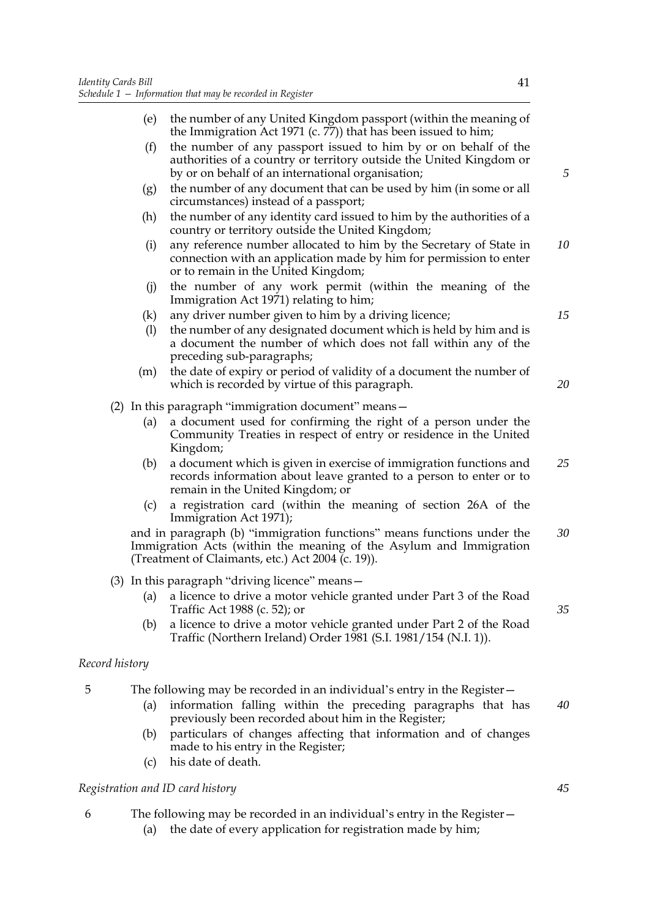- (e) the number of any United Kingdom passport (within the meaning of the Immigration Act 1971 (c. 77)) that has been issued to him;
- (f) the number of any passport issued to him by or on behalf of the authorities of a country or territory outside the United Kingdom or by or on behalf of an international organisation;
- (g) the number of any document that can be used by him (in some or all circumstances) instead of a passport;
- (h) the number of any identity card issued to him by the authorities of a country or territory outside the United Kingdom;
- (i) any reference number allocated to him by the Secretary of State in connection with an application made by him for permission to enter or to remain in the United Kingdom; *10*
- (j) the number of any work permit (within the meaning of the Immigration Act 1971) relating to him;
- (k) any driver number given to him by a driving licence;
- (l) the number of any designated document which is held by him and is a document the number of which does not fall within any of the preceding sub-paragraphs;
- (m) the date of expiry or period of validity of a document the number of which is recorded by virtue of this paragraph.
- (2) In this paragraph "immigration document" means—
	- (a) a document used for confirming the right of a person under the Community Treaties in respect of entry or residence in the United Kingdom;
	- (b) a document which is given in exercise of immigration functions and records information about leave granted to a person to enter or to remain in the United Kingdom; or *25*
	- (c) a registration card (within the meaning of section 26A of the Immigration Act 1971);

and in paragraph (b) "immigration functions" means functions under the Immigration Acts (within the meaning of the Asylum and Immigration (Treatment of Claimants, etc.) Act 2004 (c. 19)). *30*

- (3) In this paragraph "driving licence" means—
	- (a) a licence to drive a motor vehicle granted under Part 3 of the Road Traffic Act 1988 (c. 52); or
	- (b) a licence to drive a motor vehicle granted under Part 2 of the Road Traffic (Northern Ireland) Order 1981 (S.I. 1981/154 (N.I. 1)).

#### *Record history*

5 The following may be recorded in an individual's entry in the Register—

- (a) information falling within the preceding paragraphs that has previously been recorded about him in the Register; *40*
- (b) particulars of changes affecting that information and of changes made to his entry in the Register;
- (c) his date of death.

#### *Registration and ID card history*

- 6 The following may be recorded in an individual's entry in the Register—
	- (a) the date of every application for registration made by him;

*35*

*20*

*15*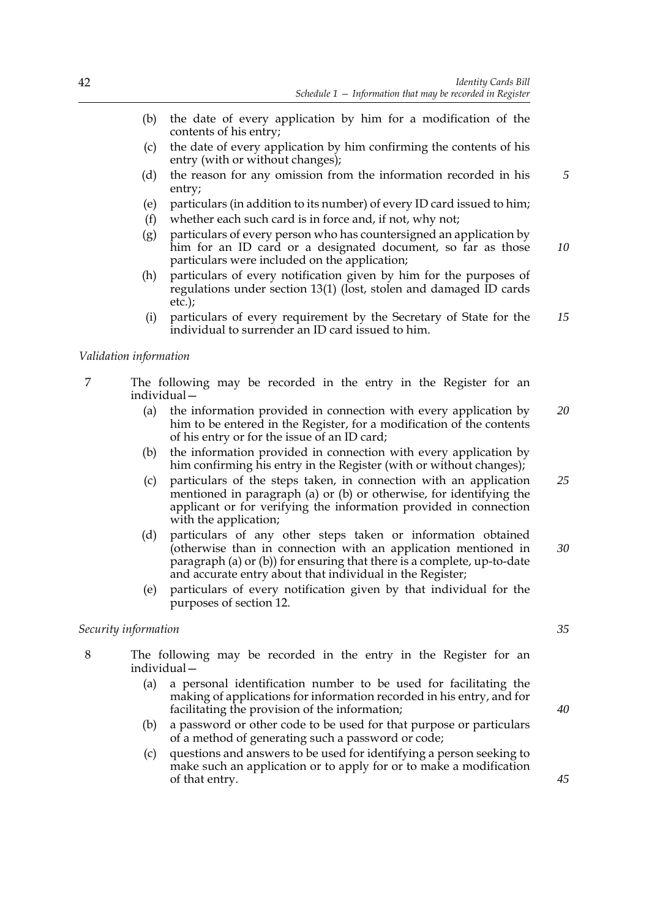- (b) the date of every application by him for a modification of the contents of his entry;
- (c) the date of every application by him confirming the contents of his entry (with or without changes);
- (d) the reason for any omission from the information recorded in his entry;
- (e) particulars (in addition to its number) of every ID card issued to him;
- (f) whether each such card is in force and, if not, why not;
- (g) particulars of every person who has countersigned an application by him for an ID card or a designated document, so far as those particulars were included on the application;
- (h) particulars of every notification given by him for the purposes of regulations under section 13(1) (lost, stolen and damaged ID cards etc.);
- (i) particulars of every requirement by the Secretary of State for the individual to surrender an ID card issued to him. *15*

#### *Validation information*

- 7 The following may be recorded in the entry in the Register for an individual—
	- (a) the information provided in connection with every application by him to be entered in the Register, for a modification of the contents of his entry or for the issue of an ID card; *20*
	- (b) the information provided in connection with every application by him confirming his entry in the Register (with or without changes);
	- (c) particulars of the steps taken, in connection with an application mentioned in paragraph (a) or (b) or otherwise, for identifying the applicant or for verifying the information provided in connection with the application; *25*
	- (d) particulars of any other steps taken or information obtained (otherwise than in connection with an application mentioned in paragraph (a) or (b)) for ensuring that there is a complete, up-to-date and accurate entry about that individual in the Register; *30*
	- (e) particulars of every notification given by that individual for the purposes of section 12.

#### *Security information*

- 8 The following may be recorded in the entry in the Register for an individual—
	- (a) a personal identification number to be used for facilitating the making of applications for information recorded in his entry, and for facilitating the provision of the information;
	- (b) a password or other code to be used for that purpose or particulars of a method of generating such a password or code;
	- (c) questions and answers to be used for identifying a person seeking to make such an application or to apply for or to make a modification of that entry.

*35*

*45*

*10*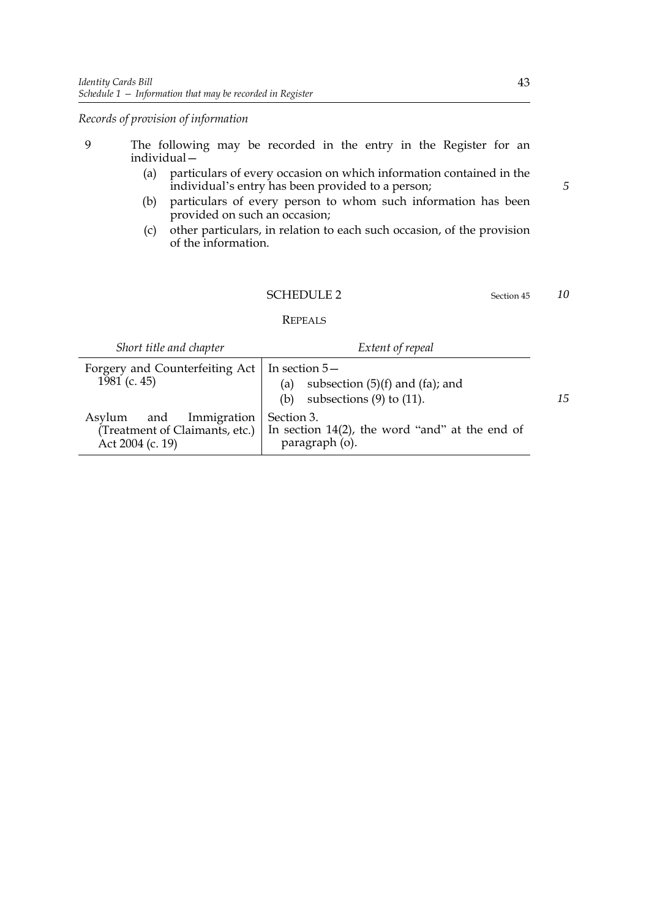*Records of provision of information*

- 9 The following may be recorded in the entry in the Register for an individual—
	- (a) particulars of every occasion on which information contained in the individual's entry has been provided to a person;
	- (b) particulars of every person to whom such information has been provided on such an occasion;
	- (c) other particulars, in relation to each such occasion, of the provision of the information.

# SCHEDULE 2 Section 45

#### REPEALS

| Short title and chapter                                                            | Extent of repeal                                                                  |    |
|------------------------------------------------------------------------------------|-----------------------------------------------------------------------------------|----|
| Forgery and Counterfeiting Act   In section 5 –<br>1981 (c. 45)                    | subsection (5)(f) and (fa); and<br>(a)<br>subsections $(9)$ to $(11)$ .<br>(b)    | 15 |
| Immigration<br>Asylum<br>and<br>(Treatment of Claimants, etc.)<br>Act 2004 (c. 19) | Section 3.<br>In section $14(2)$ , the word "and" at the end of<br>paragraph (o). |    |

*5*